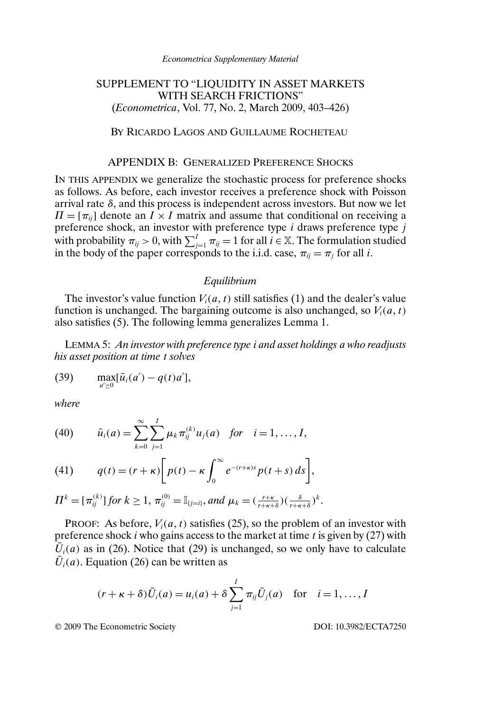#### *Econometrica Supplementary Material*

# SUPPLEMENT TO "LIQUIDITY IN ASSET MARKETS WITH SEARCH FRICTIONS" (*Econometrica*, Vol. 77, No. 2, March 2009, 403–426)

## BY RICARDO LAGOS AND GUILLAUME ROCHETEAU

### APPENDIX B: GENERALIZED PREFERENCE SHOCKS

IN THIS APPENDIX we generalize the stochastic process for preference shocks as follows. As before, each investor receives a preference shock with Poisson arrival rate  $\delta$ , and this process is independent across investors. But now we let  $\Pi = [\pi_{ii}]$  denote an  $\overline{I} \times I$  matrix and assume that conditional on receiving a preference shock, an investor with preference type i draws preference type j with probability  $\pi_{ij} > 0$ , with  $\sum_{j=1}^{I} \pi_{ij} = 1$  for all  $i \in \mathbb{X}$ . The formulation studied in the body of the paper corresponds to the i.i.d. case,  $\pi_{ij} = \pi_j$  for all i.

### *Equilibrium*

The investor's value function  $V_i(a, t)$  still satisfies (1) and the dealer's value function is unchanged. The bargaining outcome is also unchanged, so  $V_i(a, t)$ also satisfies (5). The following lemma generalizes Lemma 1.

LEMMA 5: *An investor with preference type* i *and asset holdings* a *who readjusts his asset position at time* t *solves*

(39) 
$$
\max_{a' \ge 0} [\bar{u}_i(a') - q(t)a'],
$$

*where*

(40) 
$$
\bar{u}_i(a) = \sum_{k=0}^{\infty} \sum_{j=1}^{I} \mu_k \pi_{ij}^{(k)} u_j(a)
$$
 for  $i = 1, ..., I$ ,

(41) 
$$
q(t) = (r + \kappa) \bigg[ p(t) - \kappa \int_0^\infty e^{-(r + \kappa)s} p(t + s) ds \bigg],
$$

$$
\Pi^k=[\pi_{ij}^{(k)}]\text{ for }k\geq 1,\ \pi_{ij}^{(0)}=\mathbb{I}_{\{j=i\}},\text{ and }\mu_k=(\tfrac{r+\kappa}{r+\kappa+\delta})(\tfrac{\delta}{r+\kappa+\delta})^k.
$$

PROOF: As before,  $V_i(a, t)$  satisfies (25), so the problem of an investor with preference shock *i* who gains access to the market at time *t* is given by  $(27)$  with  $\overline{U}_i(a)$  as in (26). Notice that (29) is unchanged, so we only have to calculate  $\overline{U}_i(a)$ . Equation (26) can be written as

$$
(r + \kappa + \delta)\overline{U}_i(a) = u_i(a) + \delta \sum_{j=1}^I \pi_{ij} \overline{U}_j(a)
$$
 for  $i = 1, ..., I$ 

© 2009 The Econometric Society DOI: 10.3982/ECTA7250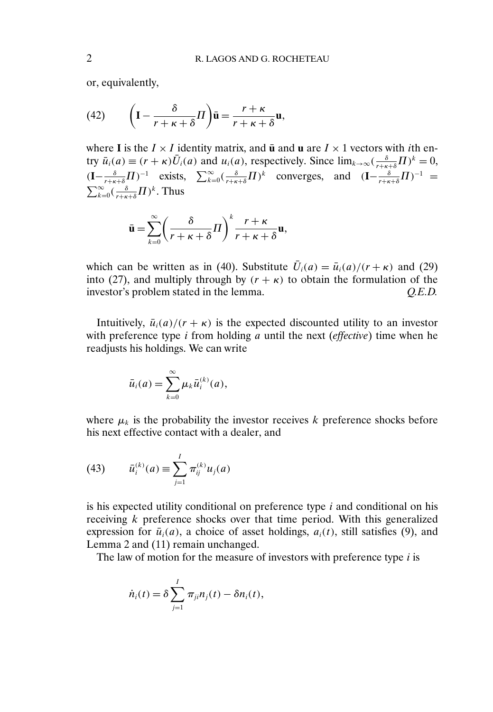or, equivalently,

(42) 
$$
\left(\mathbf{I} - \frac{\delta}{r + \kappa + \delta}H\right)\bar{\mathbf{u}} = \frac{r + \kappa}{r + \kappa + \delta}\mathbf{u},
$$

where **I** is the  $I \times I$  identity matrix, and  $\bar{u}$  and  $u$  are  $I \times 1$  vectors with *i*th entry  $\bar{u}_i(a) \equiv (r + \kappa) \bar{U}_i(a)$  and  $u_i(a)$ , respectively. Since  $\lim_{k \to \infty} \left( \frac{\delta}{r + \kappa + \delta} \prod_{i=1}^{k} \right)^k = 0$ ,  $(I - \frac{\delta}{r + \kappa + \delta} H)^{-1}$  exists,  $\sum_{k=0}^{\infty} (\frac{\delta}{r + \kappa + \delta} H)^{k}$  converges, and  $(I - \frac{\delta}{r + \kappa + \delta} H)^{-1}$  =  $\sum_{k=0}^{\infty} (\frac{\delta}{r+\kappa+\delta} \Pi)^k$ . Thus

$$
\bar{\mathbf{u}} = \sum_{k=0}^{\infty} \left( \frac{\delta}{r + \kappa + \delta} \Pi \right)^k \frac{r + \kappa}{r + \kappa + \delta} \mathbf{u},
$$

which can be written as in (40). Substitute  $\overline{U}_i(a) = \overline{u}_i(a)/(r + \kappa)$  and (29) into (27), and multiply through by  $(r + \kappa)$  to obtain the formulation of the investor's problem stated in the lemma. *Q.E.D.*

Intuitively,  $\bar{u}_i(a)/(r + \kappa)$  is the expected discounted utility to an investor with preference type i from holding a until the next (*effective*) time when he readjusts his holdings. We can write

$$
\bar{u}_i(a) = \sum_{k=0}^{\infty} \mu_k \bar{u}_i^{(k)}(a),
$$

where  $\mu_k$  is the probability the investor receives k preference shocks before his next effective contact with a dealer, and

(43) 
$$
\bar{u}_i^{(k)}(a) \equiv \sum_{j=1}^I \pi_{ij}^{(k)} u_j(a)
$$

is his expected utility conditional on preference type  $i$  and conditional on his receiving k preference shocks over that time period. With this generalized expression for  $\bar{u}_i(a)$ , a choice of asset holdings,  $a_i(t)$ , still satisfies (9), and Lemma 2 and (11) remain unchanged.

The law of motion for the measure of investors with preference type  $i$  is

$$
\dot{n}_i(t) = \delta \sum_{j=1}^I \pi_{ji} n_j(t) - \delta n_i(t),
$$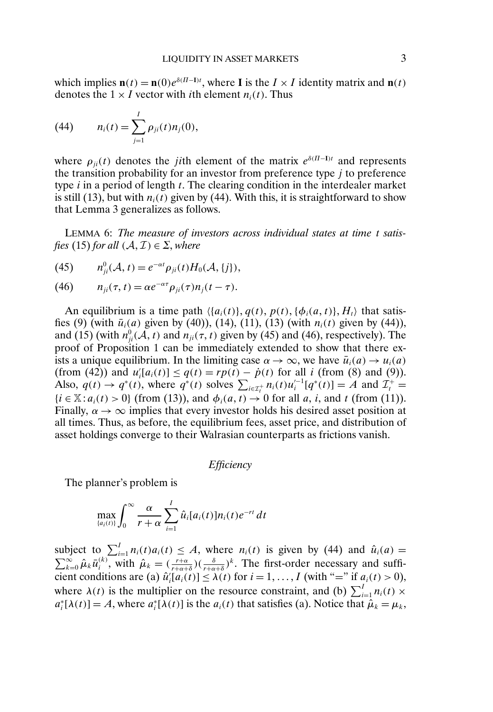which implies  $\mathbf{n}(t) = \mathbf{n}(0)e^{\delta(H-\mathbf{I})t}$ , where **I** is the  $I \times I$  identity matrix and  $\mathbf{n}(t)$ denotes the  $1 \times I$  vector with *i*th element  $n_i(t)$ . Thus

(44) 
$$
n_i(t) = \sum_{j=1}^I \rho_{ji}(t) n_j(0),
$$

where  $\rho_{ji}(t)$  denotes the *ji*th element of the matrix  $e^{\delta (II-I)t}$  and represents the transition probability for an investor from preference type  *to preference* type  $i$  in a period of length  $t$ . The clearing condition in the interdealer market is still (13), but with  $n_i(t)$  given by (44). With this, it is straightforward to show that Lemma 3 generalizes as follows.

LEMMA 6: *The measure of investors across individual states at time* t *satisfies* (15) *for all*  $(A, \mathcal{I}) \in \Sigma$ *, where* 

(45) 
$$
n_{ji}^0(\mathcal{A}, t) = e^{-\alpha t} \rho_{ji}(t) H_0(\mathcal{A}, \{j\}),
$$

(46) 
$$
n_{ji}(\tau, t) = \alpha e^{-\alpha \tau} \rho_{ji}(\tau) n_j(t - \tau).
$$

An equilibrium is a time path  $\langle \{a_i(t)\}, q(t), p(t), \{\phi_i(a, t)\}, H_t \rangle$  that satisfies (9) (with  $\bar{u}_i(a)$  given by (40)), (14), (11), (13) (with  $n_i(t)$  given by (44)), and (15) (with  $n_{ji}^0(\mathcal{A}, t)$  and  $n_{ji}(\tau, t)$  given by (45) and (46), respectively). The proof of Proposition 1 can be immediately extended to show that there exists a unique equilibrium. In the limiting case  $\alpha \to \infty$ , we have  $\bar{u}_i(a) \to u_i(a)$ (from (42)) and  $u'_i[a_i(t)] \leq q(t) = rp(t) - \dot{p}(t)$  for all *i* (from (8) and (9)). Also,  $q(t) \rightarrow q^*(t)$ , where  $q^*(t)$  solves  $\sum_{i \in \mathcal{I}_t^+} n_i(t) u_i'^{-1} [q^*(t)] = A$  and  $\mathcal{I}_t^+$  ${i \in \mathbb{X}: a_i(t) > 0}$  (from (13)), and  $\phi_i(a, t) \rightarrow 0$  for all a, i, and t (from (11)). Finally,  $\alpha \to \infty$  implies that every investor holds his desired asset position at all times. Thus, as before, the equilibrium fees, asset price, and distribution of asset holdings converge to their Walrasian counterparts as frictions vanish.

*Efficiency*

The planner's problem is

$$
\max_{\{a_i(t)\}} \int_0^\infty \frac{\alpha}{r+\alpha} \sum_{i=1}^I \hat{u}_i[a_i(t)] n_i(t) e^{-rt} dt
$$

subject to  $\sum_{i=1}^{I} n_i(t)a_i(t) \leq A$ , where  $n_i(t)$  is given by (44) and  $\hat{u}_i(a) =$  $\sum_{k=0}^{\infty} \hat{\mu}_k \bar{u}_i^{(k)}$ , with  $\hat{\mu}_k = (\frac{r+\alpha}{r+\alpha+\delta})(\frac{\delta}{r+\alpha+\delta})^k$ . The first-order necessary and sufficient conditions are (a)  $\hat{u}'_i[a_i(t)] \leq \lambda(t)$  for  $i = 1, ..., I$  (with "=" if  $a_i(t) > 0$ ), where  $\lambda(t)$  is the multiplier on the resource constraint, and (b)  $\sum_{i=1}^{I} n_i(t) \times$  $a_i^*[\lambda(t)] = A$ , where  $a_i^*[\lambda(t)]$  is the  $a_i(t)$  that satisfies (a). Notice that  $\hat{\mu}_k = \mu_k$ ,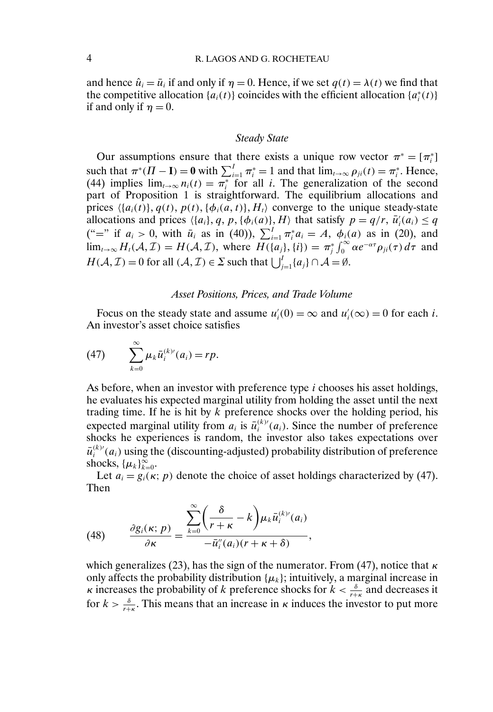## 4 R. LAGOS AND G. ROCHETEAU

and hence  $\hat{u}_i = \bar{u}_i$  if and only if  $\eta = 0$ . Hence, if we set  $q(t) = \lambda(t)$  we find that the competitive allocation  $\{a_i(t)\}$  coincides with the efficient allocation  $\{a_i^*(t)\}$ if and only if  $\eta = 0$ .

### *Steady State*

Our assumptions ensure that there exists a unique row vector  $\pi^* = [\pi_i^*]$ such that  $\pi^*(\Pi - \mathbf{I}) = \mathbf{0}$  with  $\sum_{i=1}^I \pi_i^* = 1$  and that  $\lim_{t \to \infty} \rho_{ji}(t) = \pi_i^*$ . Hence, (44) implies  $\lim_{t\to\infty} n_i(t) = \pi_i^*$  for all *i*. The generalization of the second part of Proposition 1 is straightforward. The equilibrium allocations and prices  $\langle \{a_i(t)\}, q(t), p(t), \{\phi_i(a, t)\}, H_t \rangle$  converge to the unique steady-state allocations and prices  $\langle \{a_i\}, q, p, \{\phi_i(a)\}, H \rangle$  that satisfy  $p = q/r$ ,  $\bar{u}'_i(a_i) \le q$ ("=" if  $a_i > 0$ , with  $\bar{u}_i$  as in (40)),  $\sum_{i=1}^{I} \pi_i^* a_i = A$ ,  $\phi_i(a)$  as in (20), and  $\lim_{t\to\infty} H_t(\mathcal{A},\mathcal{I}) = H(\mathcal{A},\mathcal{I})$ , where  $\overline{H(\{a_j\},\{i\})} = \pi_j^* \int_0^\infty \alpha e^{-\alpha \tau} \rho_{ji}(\tau) d\tau$  and  $H(\mathcal{A}, \mathcal{I}) = 0$  for all  $(\mathcal{A}, \mathcal{I}) \in \Sigma$  such that  $\bigcup_{j=1}^{I} \{a_j\} \cap \mathcal{A} = \emptyset$ .

### *Asset Positions, Prices, and Trade Volume*

Focus on the steady state and assume  $u_i'(0) = \infty$  and  $u_i'(\infty) = 0$  for each *i*. An investor's asset choice satisfies

(47) 
$$
\sum_{k=0}^{\infty} \mu_k \bar{u}_i^{(k)}(a_i) = rp.
$$

As before, when an investor with preference type  $i$  chooses his asset holdings, he evaluates his expected marginal utility from holding the asset until the next trading time. If he is hit by  $k$  preference shocks over the holding period, his expected marginal utility from  $a_i$  is  $\bar{u}_i^{(k)}(a_i)$ . Since the number of preference shocks he experiences is random, the investor also takes expectations over  $\bar{u}_i^{(k)\prime}(a_i)$  using the (discounting-adjusted) probability distribution of preference shocks,  $\{\mu_k\}_{k=0}^{\infty}$ .

Let  $a_i = g_i(\kappa; p)$  denote the choice of asset holdings characterized by (47). Then

(48) 
$$
\frac{\partial g_i(\kappa; p)}{\partial \kappa} = \frac{\sum_{k=0}^{\infty} \left(\frac{\delta}{r+\kappa} - k\right) \mu_k \bar{u}_i^{(k)}(a_i)}{-\bar{u}_i''(a_i)(r+\kappa+\delta)},
$$

which generalizes (23), has the sign of the numerator. From (47), notice that  $\kappa$ only affects the probability distribution  $\{\mu_k\}$ ; intuitively, a marginal increase in *κ* increases the probability of *k* preference shocks for  $k < \frac{\delta}{r+k}$  and decreases it for  $k > \frac{\delta}{r+\kappa}$ . This means that an increase in  $\kappa$  induces the investor to put more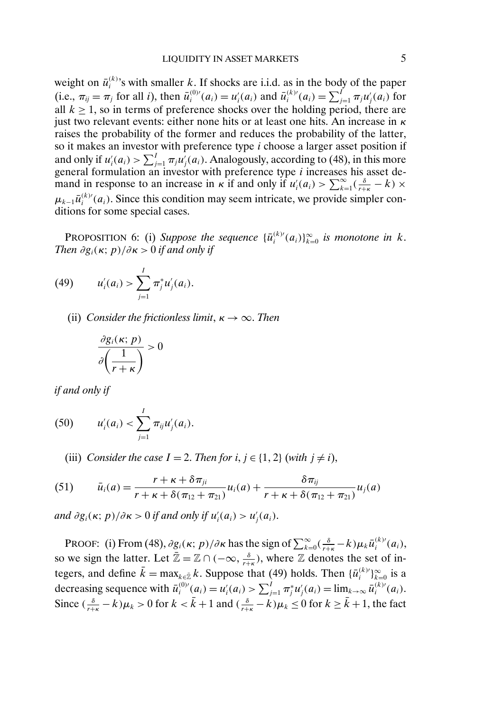weight on  $\bar{u}_i^{(k)}$ 's with smaller k. If shocks are i.i.d. as in the body of the paper (i.e.,  $\pi_{ij} = \pi_j$  for all *i*), then  $\bar{u}_i^{(0)'}(a_i) = u'_i(a_i)$  and  $\bar{u}_i^{(k)'}(a_i) = \sum_{j=1}^I \pi_j u'_j(a_i)$  for all  $k \ge 1$ , so in terms of preference shocks over the holding period, there are just two relevant events: either none hits or at least one hits. An increase in  $\kappa$ raises the probability of the former and reduces the probability of the latter, so it makes an investor with preference type  $i$  choose a larger asset position if and only if  $u_i'(a_i) > \sum_{j=1}^l \pi_j u_j'(a_i)$ . Analogously, according to (48), in this more general formulation an investor with preference type i increases his asset demand in response to an increase in  $\kappa$  if and only if  $u_i'(a_i) > \sum_{k=1}^{\infty} (\frac{\delta}{r+\kappa} - k) \times$  $\mu_{k-1} \bar{u}_i^{(k)}(a_i)$ . Since this condition may seem intricate, we provide simpler conditions for some special cases.

**PROPOSITION 6:** (i) Suppose the sequence  ${\{\bar{u}_i^{(k)'}(a_i)\}}_{k=0}^{\infty}$  is monotone in k. *Then*  $\partial g_i(\kappa; p)/\partial \kappa > 0$  *if and only if* 

(49) 
$$
u'_{i}(a_{i}) > \sum_{j=1}^{I} \pi_{j}^{*} u'_{j}(a_{i}).
$$

(ii) *Consider the frictionless limit*,  $\kappa \to \infty$ *. Then* 

$$
\frac{\partial g_i(\kappa; p)}{\partial \left(\frac{1}{r+\kappa}\right)} > 0
$$

*if and only if*

(50) 
$$
u'_{i}(a_{i}) < \sum_{j=1}^{I} \pi_{ij} u'_{j}(a_{i}).
$$

(iii) *Consider the case*  $I = 2$ . *Then for*  $i, j \in \{1, 2\}$  (*with*  $j \neq i$ ),

(51) 
$$
\bar{u}_i(a) = \frac{r + \kappa + \delta \pi_{ji}}{r + \kappa + \delta (\pi_{12} + \pi_{21})} u_i(a) + \frac{\delta \pi_{ij}}{r + \kappa + \delta (\pi_{12} + \pi_{21})} u_j(a)
$$

and  $\partial g_i(\kappa; p)/\partial \kappa > 0$  if and only if  $u'_i(a_i) > u'_j(a_i)$ .

PROOF: (i) From (48),  $\partial g_i(\kappa; p)/\partial \kappa$  has the sign of  $\sum_{k=0}^{\infty} (\frac{\delta}{r+\kappa} - k) \mu_k \bar{u}_i^{(k)}(a_i)$ , so we sign the latter. Let  $\bar{\mathbb{Z}} = \mathbb{Z} \cap (-\infty, \frac{\delta}{r+k})$ , where  $\mathbb Z$  denotes the set of integers, and define  $\bar{k} = \max_{k \in \bar{\mathbb{Z}}} k$ . Suppose that (49) holds. Then  $\{\bar{u}_i^{(k)}\}_{k=0}^{\infty}$  is a decreasing sequence with  $\bar{u}_i^{(0)}(a_i) = u'_i(a_i) > \sum_{j=1}^I \pi_j^* u'_j(a_i) = \lim_{k \to \infty} \bar{u}_i^{(k)}(a_i)$ . Since  $(\frac{\delta}{r+\kappa}-k)\mu_k > 0$  for  $k < \bar{k}+1$  and  $(\frac{\delta}{r+\kappa}-k)\mu_k \le 0$  for  $k \ge \bar{k}+1$ , the fact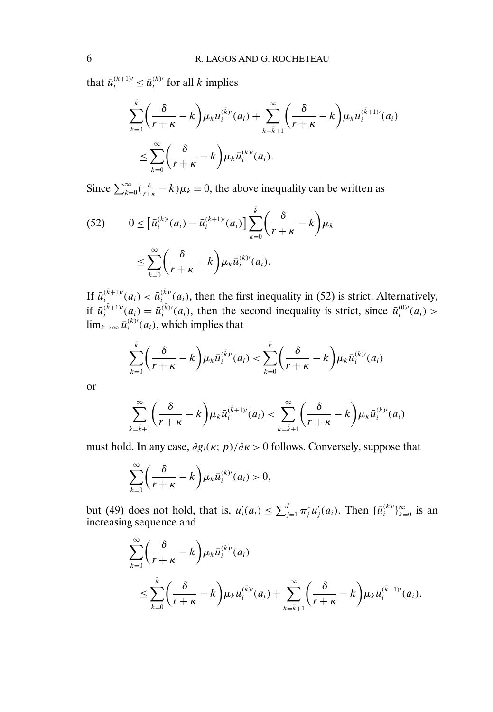that  $\bar{u}_i^{(k+1)} \leq \bar{u}_i^{(k)}$  for all k implies

$$
\sum_{k=0}^{\overline{k}} \left( \frac{\delta}{r+\kappa} - k \right) \mu_k \bar{u}_i^{(\overline{k})'}(a_i) + \sum_{k=\overline{k}+1}^{\infty} \left( \frac{\delta}{r+\kappa} - k \right) \mu_k \bar{u}_i^{(\overline{k}+1)'}(a_i)
$$
  

$$
\leq \sum_{k=0}^{\infty} \left( \frac{\delta}{r+\kappa} - k \right) \mu_k \bar{u}_i^{(k)'}(a_i).
$$

Since  $\sum_{k=0}^{\infty} \left( \frac{\delta}{r+\kappa} - k \right) \mu_k = 0$ , the above inequality can be written as

(52) 
$$
0 \leq \left[\bar{u}_i^{(\bar{k})'}(a_i) - \bar{u}_i^{(\bar{k}+1)'}(a_i)\right] \sum_{k=0}^{\bar{k}} \left(\frac{\delta}{r+\kappa} - k\right) \mu_k
$$

$$
\leq \sum_{k=0}^{\infty} \left(\frac{\delta}{r+\kappa} - k\right) \mu_k \bar{u}_i^{(k)'}(a_i).
$$

If  $\bar{u}^{(\bar{k}+1)}_i(a_i) < \bar{u}^{(\bar{k})'}_i(a_i)$ , then the first inequality in (52) is strict. Alternatively, if  $\bar{u}_i^{(\bar{k}+1)'}(a_i) = \bar{u}_i^{(\bar{k})'}(a_i)$ , then the second inequality is strict, since  $\bar{u}_i^{(0)'}(a_i)$  $\lim_{k\to\infty}\bar{u}_i^{(k)\'}(a_i)$ , which implies that

$$
\sum_{k=0}^{\tilde{k}} \left( \frac{\delta}{r+\kappa} - k \right) \mu_k \bar{u}_i^{(\tilde{k})'}(a_i) < \sum_{k=0}^{\tilde{k}} \left( \frac{\delta}{r+\kappa} - k \right) \mu_k \bar{u}_i^{(k)'}(a_i)
$$

or

$$
\sum_{k=\bar{k}+1}^{\infty} \left(\frac{\delta}{r+\kappa}-k\right) \mu_k \bar{u}_i^{(\bar{k}+1)'}(a_i) < \sum_{k=\bar{k}+1}^{\infty} \left(\frac{\delta}{r+\kappa}-k\right) \mu_k \bar{u}_i^{(k)'}(a_i)
$$

must hold. In any case,  $\partial g_i(\kappa; p)/\partial \kappa > 0$  follows. Conversely, suppose that

$$
\sum_{k=0}^{\infty} \left( \frac{\delta}{r+\kappa} - k \right) \mu_k \bar{u}_i^{(k)}(a_i) > 0,
$$

but (49) does not hold, that is,  $u'_i(a_i) \le \sum_{j=1}^I \pi_j^* u'_j(a_i)$ . Then  $\{\bar{u}_i^{(k)}\}_{k=0}^{\infty}$  is an increasing sequence and

$$
\sum_{k=0}^{\infty} \left( \frac{\delta}{r+\kappa} - k \right) \mu_k \bar{u}_i^{(k)'}(a_i)
$$
\n
$$
\leq \sum_{k=0}^{\bar{k}} \left( \frac{\delta}{r+\kappa} - k \right) \mu_k \bar{u}_i^{(\bar{k})'}(a_i) + \sum_{k=\bar{k}+1}^{\infty} \left( \frac{\delta}{r+\kappa} - k \right) \mu_k \bar{u}_i^{(\bar{k}+1)'}(a_i).
$$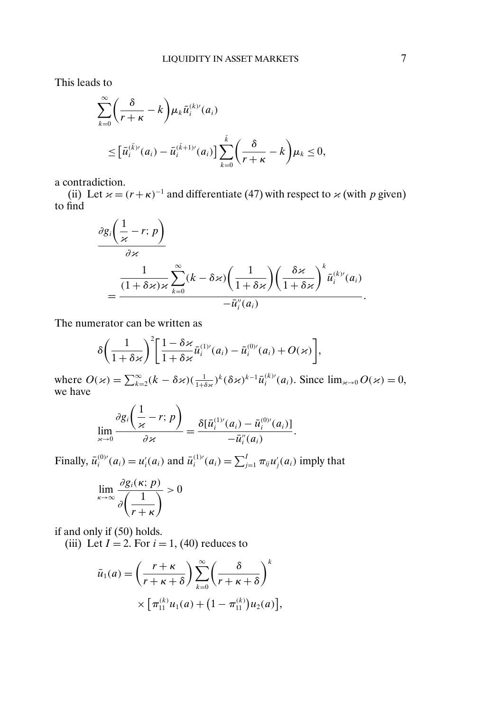This leads to

$$
\sum_{k=0}^{\infty} \left( \frac{\delta}{r+\kappa} - k \right) \mu_k \bar{u}_i^{(k)}(a_i)
$$
  

$$
\leq \left[ \bar{u}_i^{(\bar{k})'}(a_i) - \bar{u}_i^{(\bar{k}+1)}(a_i) \right] \sum_{k=0}^{\bar{k}} \left( \frac{\delta}{r+\kappa} - k \right) \mu_k \leq 0,
$$

a contradiction.

(ii) Let  $x = (r + \kappa)^{-1}$  and differentiate (47) with respect to  $x$  (with p given) to find

$$
\frac{\partial g_i\left(\frac{1}{\varkappa}-r;\,p\right)}{\partial \varkappa} = \frac{\frac{1}{(1+\delta\varkappa)\varkappa}\sum_{k=0}^{\infty}(k-\delta\varkappa)\left(\frac{1}{1+\delta\varkappa}\right)\left(\frac{\delta\varkappa}{1+\delta\varkappa}\right)^k\bar{u}_i^{(k)}(a_i)}{-\bar{u}_i''(a_i)}.
$$

The numerator can be written as

$$
\delta\bigg(\frac{1}{1+\delta\varkappa}\bigg)^2\bigg[\frac{1-\delta\varkappa}{1+\delta\varkappa}\bar{u}_i^{(1)}(a_i)-\bar{u}_i^{(0)}(a_i)+O(\varkappa)\bigg],
$$

where  $O(\varkappa) = \sum_{k=2}^{\infty} (k - \delta \varkappa) \left(\frac{1}{1+\delta \varkappa}\right)^k (\delta \varkappa)^{k-1} \bar{u}_i^{(k)'}(a_i)$ . Since  $\lim_{\varkappa \to 0} O(\varkappa) = 0$ , we have

$$
\lim_{\varkappa \to 0} \frac{\partial g_i\left(\frac{1}{\varkappa} - r; p\right)}{\partial \varkappa} = \frac{\delta[\bar{u}_i^{(1)}(a_i) - \bar{u}_i^{(0)}(a_i)]}{-\bar{u}_i''(a_i)}.
$$

Finally,  $\bar{u}_i^{(0)}(a_i) = u'_i(a_i)$  and  $\bar{u}_i^{(1)}(a_i) = \sum_{j=1}^I \pi_{ij} u'_j(a_i)$  imply that

$$
\lim_{\kappa \to \infty} \frac{\partial g_i(\kappa; p)}{\partial \left(\frac{1}{r+\kappa}\right)} > 0
$$

if and only if (50) holds.

(iii) Let  $I = 2$ . For  $i = 1$ , (40) reduces to

$$
\bar{u}_1(a) = \left(\frac{r+\kappa}{r+\kappa+\delta}\right) \sum_{k=0}^{\infty} \left(\frac{\delta}{r+\kappa+\delta}\right)^k
$$

$$
\times \left[\pi_{11}^{(k)} u_1(a) + \left(1-\pi_{11}^{(k)}\right) u_2(a)\right],
$$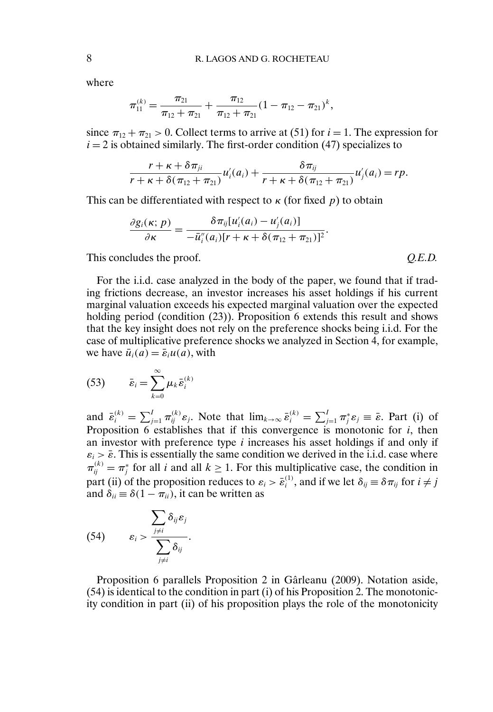where

$$
\pi_{11}^{(k)} = \frac{\pi_{21}}{\pi_{12} + \pi_{21}} + \frac{\pi_{12}}{\pi_{12} + \pi_{21}} (1 - \pi_{12} - \pi_{21})^k,
$$

since  $\pi_{12} + \pi_{21} > 0$ . Collect terms to arrive at (51) for  $i = 1$ . The expression for  $i = 2$  is obtained similarly. The first-order condition (47) specializes to

$$
\frac{r+\kappa+\delta\pi_{ji}}{r+\kappa+\delta(\pi_{12}+\pi_{21})}u'_i(a_i)+\frac{\delta\pi_{ij}}{r+\kappa+\delta(\pi_{12}+\pi_{21})}u'_j(a_i)=rp.
$$

This can be differentiated with respect to  $\kappa$  (for fixed p) to obtain

$$
\frac{\partial g_i(\kappa; p)}{\partial \kappa} = \frac{\delta \pi_{ij}[u'_i(a_i) - u'_j(a_i)]}{-\overline{u''_i(a_i)}[r + \kappa + \delta(\pi_{12} + \pi_{21})]^2}.
$$

This concludes the proof.  $Q.E.D.$ 

For the i.i.d. case analyzed in the body of the paper, we found that if trading frictions decrease, an investor increases his asset holdings if his current marginal valuation exceeds his expected marginal valuation over the expected holding period (condition (23)). Proposition 6 extends this result and shows that the key insight does not rely on the preference shocks being i.i.d. For the case of multiplicative preference shocks we analyzed in Section 4, for example, we have  $\bar{u}_i(a) = \bar{\varepsilon}_i u(a)$ , with

$$
(53) \qquad \bar{\varepsilon}_i = \sum_{k=0}^{\infty} \mu_k \bar{\varepsilon}_i^{(k)}
$$

and  $\bar{\varepsilon}_i^{(k)} = \sum_{j=1}^I \pi_{ij}^{(k)} \varepsilon_j$ . Note that  $\lim_{k \to \infty} \bar{\varepsilon}_i^{(k)} = \sum_{j=1}^I \pi_j^* \varepsilon_j \equiv \bar{\varepsilon}$ . Part (i) of Proposition 6 establishes that if this convergence is monotonic for  $i$ , then an investor with preference type i increases his asset holdings if and only if  $\varepsilon_i > \bar{\varepsilon}$ . This is essentially the same condition we derived in the i.i.d. case where  $\pi_{ij}^{(k)} = \pi_j^*$  for all *i* and all  $k \ge 1$ . For this multiplicative case, the condition in part (ii) of the proposition reduces to  $\varepsilon_i > \bar{\varepsilon}_i^{(1)}$ , and if we let  $\delta_{ij} \equiv \delta \pi_{ij}$  for  $i \neq j$ and  $\delta_{ii} \equiv \delta(1 - \pi_{ii})$ , it can be written as

(54) 
$$
\mathcal{E}_{i} > \frac{\sum_{j \neq i} \delta_{ij} \varepsilon_{j}}{\sum_{j \neq i} \delta_{ij}}.
$$

Proposition 6 parallels Proposition 2 in Gârleanu (2009). Notation aside, (54) is identical to the condition in part (i) of his Proposition 2. The monotonicity condition in part (ii) of his proposition plays the role of the monotonicity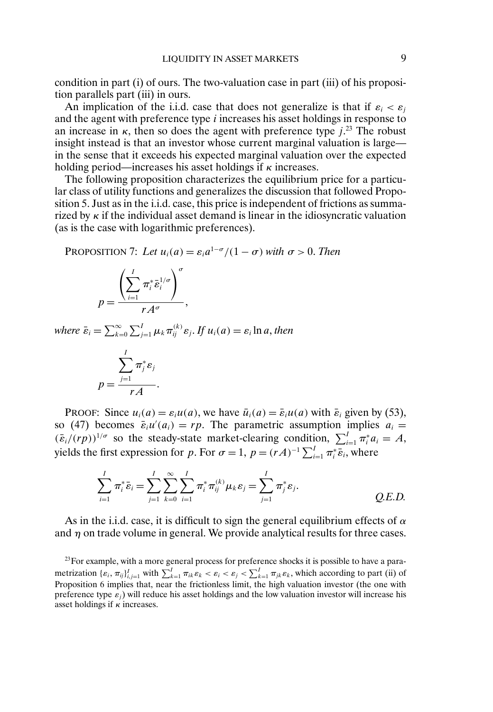condition in part (i) of ours. The two-valuation case in part (iii) of his proposition parallels part (iii) in ours.

An implication of the i.i.d. case that does not generalize is that if  $\varepsilon_i < \varepsilon_j$ and the agent with preference type  $i$  increases his asset holdings in response to an increase in  $\kappa$ , then so does the agent with preference type  $j$ <sup>23</sup>. The robust insight instead is that an investor whose current marginal valuation is large in the sense that it exceeds his expected marginal valuation over the expected holding period—increases his asset holdings if  $\kappa$  increases.

The following proposition characterizes the equilibrium price for a particular class of utility functions and generalizes the discussion that followed Proposition 5. Just as in the i.i.d. case, this price is independent of frictions as summarized by  $\kappa$  if the individual asset demand is linear in the idiosyncratic valuation (as is the case with logarithmic preferences).

PROPOSITION 7: Let  $u_i(a) = \varepsilon_i a^{1-\sigma}/(1-\sigma)$  with  $\sigma > 0$ . Then

$$
p = \frac{\left(\sum_{i=1}^{I} \pi_i^* \bar{\varepsilon}_i^{1/\sigma}\right)^{\sigma}}{r A^{\sigma}},
$$

*where*  $\bar{\varepsilon}_i = \sum_{k=1}^{\infty}$  $\sum_{k=0}^{\infty}\sum_{j=1}^{I}\mu_{k}\pi_{ij}^{(k)}\varepsilon_{j}$ . If  $u_{i}(a)=\varepsilon_{i}\ln a,$  then

$$
p = \frac{\sum_{j=1}^{I} \pi_j^* \varepsilon_j}{r A}.
$$

PROOF: Since  $u_i(a) = \varepsilon_i u(a)$ , we have  $\bar{u}_i(a) = \bar{\varepsilon}_i u(a)$  with  $\bar{\varepsilon}_i$  given by (53), so (47) becomes  $\bar{\varepsilon}_i u'(a_i) = rp$ . The parametric assumption implies  $a_i =$  $(\bar{\varepsilon}_i/(rp))^{1/\sigma}$  so the steady-state market-clearing condition,  $\sum_{i=1}^I \pi_i^* a_i = A$ , yields the first expression for p. For  $\sigma = 1$ ,  $p = (rA)^{-1} \sum_{i=1}^{I} \pi_i^* \bar{\varepsilon}_i$ , where

$$
\sum_{i=1}^{I} \pi_i^* \bar{\varepsilon}_i = \sum_{j=1}^{I} \sum_{k=0}^{\infty} \sum_{i=1}^{I} \pi_i^* \pi_{ij}^{(k)} \mu_k \varepsilon_j = \sum_{j=1}^{I} \pi_j^* \varepsilon_j.
$$
 Q.E.D.

As in the i.i.d. case, it is difficult to sign the general equilibrium effects of  $\alpha$ and  $\eta$  on trade volume in general. We provide analytical results for three cases.

<sup>23</sup>For example, with a more general process for preference shocks it is possible to have a parametrization  $\{\varepsilon_i, \pi_{ij}\}_{i,j=1}^I$  with  $\sum_{k=1}^I \pi_{ik}\varepsilon_k < \varepsilon_i < \varepsilon_j < \sum_{k=1}^I \pi_{jk}\varepsilon_k$ , which according to part (ii) of Proposition 6 implies that, near the frictionless limit, the high valuation investor (the one with preference type  $\varepsilon_j$ ) will reduce his asset holdings and the low valuation investor will increase his asset holdings if  $\kappa$  increases.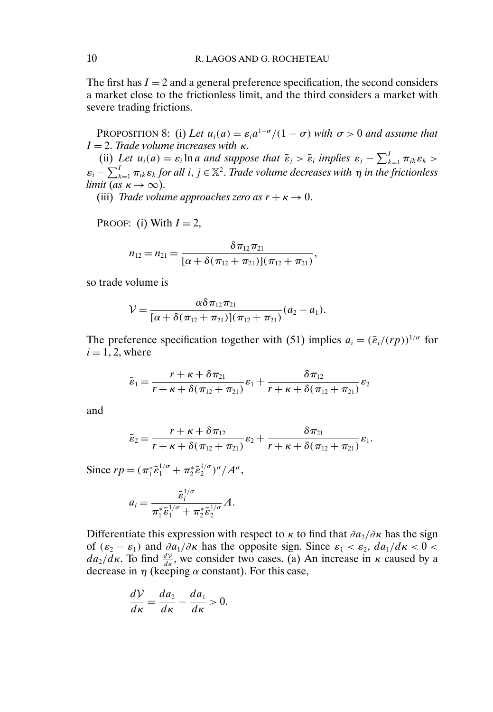The first has  $I = 2$  and a general preference specification, the second considers a market close to the frictionless limit, and the third considers a market with severe trading frictions.

PROPOSITION 8: (i) Let  $u_i(a) = \varepsilon_i a^{1-\sigma}/(1-\sigma)$  with  $\sigma > 0$  and assume that  $I = 2$ . *Trade volume increases with* κ.

(ii) Let  $u_i(a) = \varepsilon_i \ln a$  and suppose that  $\bar{\varepsilon}_j > \bar{\varepsilon}_i$  implies  $\varepsilon_j - \sum_{k=1}^I \pi_{jk} \varepsilon_k >$  $\varepsilon_i - \sum_{k=1}^I \pi_{ik} \varepsilon_k$  for all  $i, j \in \mathbb{X}^2$ . *Trade volume decreases with*  $\eta$  *in the frictionless limit* (*as*  $\kappa \to \infty$ ).

(iii) *Trade volume approaches zero as*  $r + \kappa \rightarrow 0$ .

PROOF: (i) With  $I = 2$ ,

$$
n_{12}=n_{21}=\frac{\delta \pi_{12}\pi_{21}}{[\alpha+\delta(\pi_{12}+\pi_{21})](\pi_{12}+\pi_{21})},
$$

so trade volume is

$$
\mathcal{V} = \frac{\alpha \delta \pi_{12} \pi_{21}}{[\alpha + \delta (\pi_{12} + \pi_{21})](\pi_{12} + \pi_{21})}(a_2 - a_1).
$$

The preference specification together with (51) implies  $a_i = (\bar{\varepsilon}_i/(rp))^{1/\sigma}$  for  $i = 1, 2$ , where

$$
\bar{\varepsilon}_1 = \frac{r + \kappa + \delta \pi_{21}}{r + \kappa + \delta (\pi_{12} + \pi_{21})} \varepsilon_1 + \frac{\delta \pi_{12}}{r + \kappa + \delta (\pi_{12} + \pi_{21})} \varepsilon_2
$$

and

$$
\bar{\varepsilon}_2 = \frac{r + \kappa + \delta \pi_{12}}{r + \kappa + \delta (\pi_{12} + \pi_{21})} \varepsilon_2 + \frac{\delta \pi_{21}}{r + \kappa + \delta (\pi_{12} + \pi_{21})} \varepsilon_1.
$$

Since  $rp = (\pi_1^* \bar{\varepsilon}_1^{1/\sigma} + \pi_2^* \bar{\varepsilon}_2^{1/\sigma})^{\sigma}/A^{\sigma}$ ,

$$
a_i = \frac{\bar{\varepsilon}_i^{1/\sigma}}{\pi_1^* \bar{\varepsilon}_1^{1/\sigma} + \pi_2^* \bar{\varepsilon}_2^{1/\sigma}} A.
$$

Differentiate this expression with respect to  $\kappa$  to find that  $\partial a_2/\partial \kappa$  has the sign of  $(\varepsilon_2 - \varepsilon_1)$  and  $\partial a_1/\partial \kappa$  has the opposite sign. Since  $\varepsilon_1 < \varepsilon_2$ ,  $d a_1/d\kappa < 0$  $da_2/d\kappa$ . To find  $\frac{dV}{d\kappa}$ , we consider two cases. (a) An increase in  $\kappa$  caused by a decrease in  $\eta$  (keeping  $\alpha$  constant). For this case,

$$
\frac{dV}{d\kappa} = \frac{da_2}{d\kappa} - \frac{da_1}{d\kappa} > 0.
$$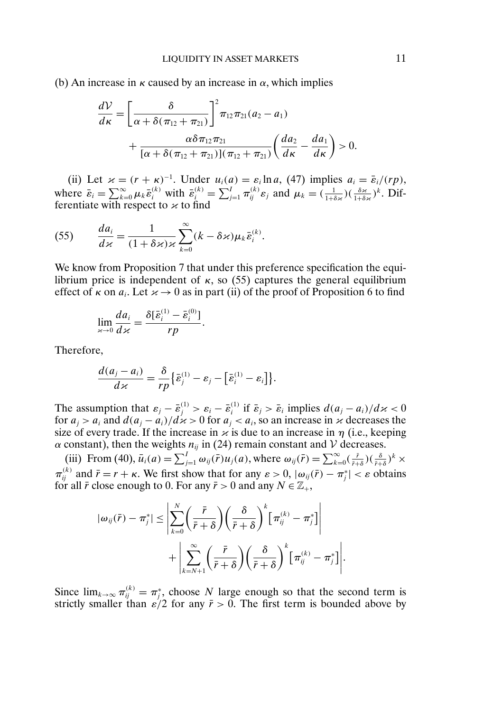(b) An increase in  $\kappa$  caused by an increase in  $\alpha$ , which implies

$$
\frac{dV}{d\kappa} = \left[\frac{\delta}{\alpha + \delta(\pi_{12} + \pi_{21})}\right]^2 \pi_{12} \pi_{21} (a_2 - a_1) + \frac{\alpha \delta \pi_{12} \pi_{21}}{[\alpha + \delta(\pi_{12} + \pi_{21})](\pi_{12} + \pi_{21})} \left(\frac{da_2}{d\kappa} - \frac{da_1}{d\kappa}\right) > 0.
$$

(ii) Let  $\varkappa = (r + \kappa)^{-1}$ . Under  $u_i(a) = \varepsilon_i \ln a$ , (47) implies  $a_i = \overline{\varepsilon}_i/(rp)$ , where  $\bar{\varepsilon}_i = \sum_{k=0}^{\infty} \mu_k \bar{\varepsilon}_i^{(k)}$  with  $\bar{\varepsilon}_i^{(k)} = \sum_{j=1}^I \pi_{ij}^{(k)} \varepsilon_j$  and  $\mu_k = (\frac{1}{1+\delta \varepsilon})(\frac{\delta \varepsilon}{1+\delta \varepsilon})^k$ . Differentiate with respect to  $\varkappa$  to find

(55) 
$$
\frac{da_i}{d\kappa} = \frac{1}{(1+\delta\kappa)\kappa} \sum_{k=0}^{\infty} (k-\delta\kappa)\mu_k \bar{\varepsilon}_i^{(k)}.
$$

We know from Proposition 7 that under this preference specification the equilibrium price is independent of  $κ$ , so (55) captures the general equilibrium effect of  $\kappa$  on  $a_i$ . Let  $\varkappa \to 0$  as in part (ii) of the proof of Proposition 6 to find

$$
\lim_{\varkappa \to 0} \frac{da_i}{d\varkappa} = \frac{\delta[\bar{\varepsilon}_i^{(1)} - \bar{\varepsilon}_i^{(0)}]}{rp}.
$$

Therefore,

$$
\frac{d(a_j-a_i)}{dx}=\frac{\delta}{rp}\big\{\bar{\varepsilon}_j^{(1)}-\varepsilon_j-\big[\bar{\varepsilon}_i^{(1)}-\varepsilon_i\big]\big\}.
$$

The assumption that  $\varepsilon_j - \bar{\varepsilon}_j^{(1)} > \varepsilon_i - \bar{\varepsilon}_i^{(1)}$  if  $\bar{\varepsilon}_j > \bar{\varepsilon}_i$  implies  $d(a_j - a_i)/d\varkappa < 0$ for  $a_i > a_i$  and  $d(a_i - a_i)/d \times > 0$  for  $a_i < a_i$ , so an increase in  $\times$  decreases the size of every trade. If the increase in  $\varkappa$  is due to an increase in  $\eta$  (i.e., keeping  $\alpha$  constant), then the weights  $n_{ij}$  in (24) remain constant and V decreases.

(iii) From (40),  $\bar{u}_i(a) = \sum_{j=1}^I \omega_{ij}(\bar{r}) u_j(a)$ , where  $\omega_{ij}(\bar{r}) = \sum_{k=0}^\infty (\frac{\bar{r}}{\bar{r}+\delta})(\frac{\delta}{\bar{r}+\delta})^k \times$  $\pi_{ij}^{(k)}$  and  $\bar{r} = r + \kappa$ . We first show that for any  $\varepsilon > 0$ ,  $|\omega_{ij}(\bar{r}) - \pi_j^*| < \varepsilon$  obtains for all  $\bar{r}$  close enough to 0. For any  $\bar{r} > 0$  and any  $N \in \mathbb{Z}_+$ ,

$$
|\omega_{ij}(\bar{r}) - \pi_j^*| \leq \left| \sum_{k=0}^N \left( \frac{\bar{r}}{\bar{r} + \delta} \right) \left( \frac{\delta}{\bar{r} + \delta} \right)^k \left[ \pi_{ij}^{(k)} - \pi_j^* \right] \right|
$$
  
+ 
$$
\left| \sum_{k=N+1}^\infty \left( \frac{\bar{r}}{\bar{r} + \delta} \right) \left( \frac{\delta}{\bar{r} + \delta} \right)^k \left[ \pi_{ij}^{(k)} - \pi_j^* \right] \right|.
$$

Since  $\lim_{k\to\infty} \pi_{ij}^{(k)} = \pi_j^*$ , choose N large enough so that the second term is strictly smaller than  $\varepsilon/2$  for any  $\bar{r} > 0$ . The first term is bounded above by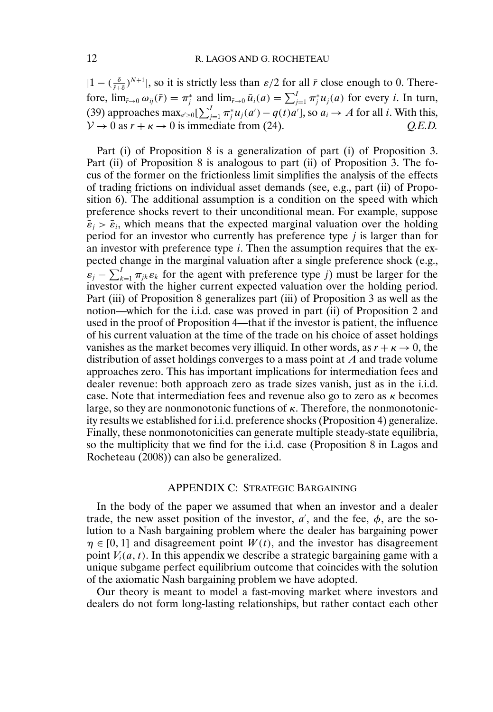$|1 - (\frac{\delta}{\bar{r}+\delta})^{N+1}|$ , so it is strictly less than  $\varepsilon/2$  for all  $\bar{r}$  close enough to 0. Therefore,  $\lim_{\bar{r}\to 0} \omega_{ij}(\bar{r}) = \pi_j^*$  and  $\lim_{\bar{r}\to 0} \bar{u}_i(a) = \sum_{j=1}^I \pi_j^* u_j(a)$  for every *i*. In turn, (39) approaches max<sub>a′≥0</sub>[ $\sum_{j=1}^{I} \pi_j^* u_j(a') - q(t)a'$ ], so  $a_i \to A$  for all *i*. With this,  $V \rightarrow 0$  as  $r + \kappa \rightarrow 0$  is immediate from (24). *Q.E.D.* 

Part (i) of Proposition 8 is a generalization of part (i) of Proposition 3. Part (ii) of Proposition 8 is analogous to part (ii) of Proposition 3. The focus of the former on the frictionless limit simplifies the analysis of the effects of trading frictions on individual asset demands (see, e.g., part (ii) of Proposition 6). The additional assumption is a condition on the speed with which preference shocks revert to their unconditional mean. For example, suppose  $\bar{\varepsilon}_i > \bar{\varepsilon}_i$ , which means that the expected marginal valuation over the holding period for an investor who currently has preference type  $j$  is larger than for an investor with preference type  $i$ . Then the assumption requires that the expected change in the marginal valuation after a single preference shock (e.g.,  $\varepsilon_j - \sum_{k=1}^I \pi_{jk} \varepsilon_k$  for the agent with preference type j) must be larger for the investor with the higher current expected valuation over the holding period. Part (iii) of Proposition 8 generalizes part (iii) of Proposition 3 as well as the notion—which for the i.i.d. case was proved in part (ii) of Proposition 2 and used in the proof of Proposition 4—that if the investor is patient, the influence of his current valuation at the time of the trade on his choice of asset holdings vanishes as the market becomes very illiquid. In other words, as  $r + \kappa \to 0$ , the distribution of asset holdings converges to a mass point at A and trade volume approaches zero. This has important implications for intermediation fees and dealer revenue: both approach zero as trade sizes vanish, just as in the i.i.d. case. Note that intermediation fees and revenue also go to zero as  $\kappa$  becomes large, so they are nonmonotonic functions of  $\kappa$ . Therefore, the nonmonotonicity results we established for i.i.d. preference shocks (Proposition 4) generalize. Finally, these nonmonotonicities can generate multiple steady-state equilibria, so the multiplicity that we find for the i.i.d. case (Proposition 8 in Lagos and Rocheteau (2008)) can also be generalized.

## APPENDIX C: STRATEGIC BARGAINING

In the body of the paper we assumed that when an investor and a dealer trade, the new asset position of the investor,  $a'$ , and the fee,  $\phi$ , are the solution to a Nash bargaining problem where the dealer has bargaining power  $\eta \in [0, 1]$  and disagreement point  $W(t)$ , and the investor has disagreement point  $V_i(a, t)$ . In this appendix we describe a strategic bargaining game with a unique subgame perfect equilibrium outcome that coincides with the solution of the axiomatic Nash bargaining problem we have adopted.

Our theory is meant to model a fast-moving market where investors and dealers do not form long-lasting relationships, but rather contact each other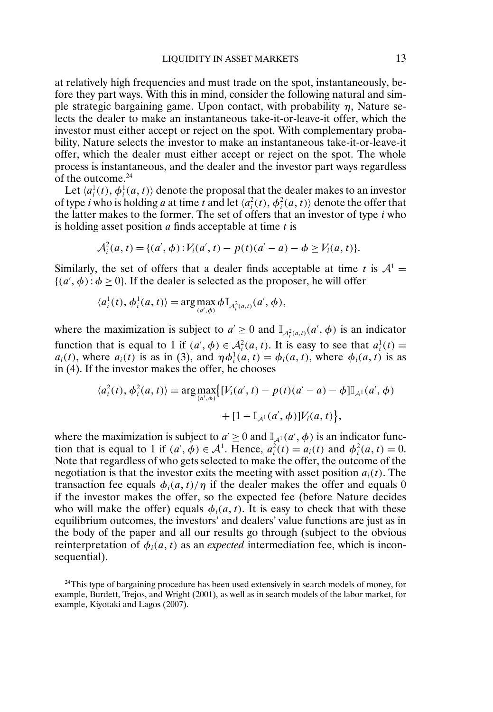at relatively high frequencies and must trade on the spot, instantaneously, before they part ways. With this in mind, consider the following natural and simple strategic bargaining game. Upon contact, with probability  $\eta$ , Nature selects the dealer to make an instantaneous take-it-or-leave-it offer, which the investor must either accept or reject on the spot. With complementary probability, Nature selects the investor to make an instantaneous take-it-or-leave-it offer, which the dealer must either accept or reject on the spot. The whole process is instantaneous, and the dealer and the investor part ways regardless of the outcome.<sup>24</sup>

Let  $\langle a_i^1(t), \phi_i^1(a, t) \rangle$  denote the proposal that the dealer makes to an investor of type *i* who is holding *a* at time *t* and let  $\langle a_i^2(t), \phi_i^2(a, t) \rangle$  denote the offer that the latter makes to the former. The set of offers that an investor of type  $i$  who is holding asset position  $a$  finds acceptable at time  $t$  is

$$
\mathcal{A}_i^2(a,t) = \{(a',\phi): V_i(a',t) - p(t)(a'-a) - \phi \ge V_i(a,t)\}.
$$

Similarly, the set of offers that a dealer finds acceptable at time t is  $A^1 =$  $\{(a', \phi) : \phi \ge 0\}$ . If the dealer is selected as the proposer, he will offer

$$
\langle a_i^1(t), \phi_i^1(a, t) \rangle = \arg \max_{(a', \phi)} \phi \mathbb{I}_{\mathcal{A}_i^2(a, t)}(a', \phi),
$$

where the maximization is subject to  $a' \ge 0$  and  $\mathbb{I}_{\mathcal{A}^2_i(a,t)}(a', \phi)$  is an indicator function that is equal to 1 if  $(a', \phi) \in \mathcal{A}_i^2(a, t)$ . It is easy to see that  $a_i^1(t) =$  $a_i(t)$ , where  $a_i(t)$  is as in (3), and  $\eta \phi_i^1(a, t) = \phi_i(a, t)$ , where  $\phi_i(a, t)$  is as in (4). If the investor makes the offer, he chooses

$$
\langle a_i^2(t), \phi_i^2(a, t) \rangle = \arg \max_{(a', \phi)} \{ [V_i(a', t) - p(t)(a' - a) - \phi] \mathbb{I}_{A^1}(a', \phi) + [1 - \mathbb{I}_{A^1}(a', \phi)] V_i(a, t) \},\
$$

where the maximization is subject to  $a' \ge 0$  and  $\mathbb{I}_{A^1}(a', \phi)$  is an indicator function that is equal to 1 if  $(a', \phi) \in A^1$ . Hence,  $a_i^2(t) = a_i(t)$  and  $\phi_i^2(a, t) = 0$ . Note that regardless of who gets selected to make the offer, the outcome of the negotiation is that the investor exits the meeting with asset position  $a_i(t)$ . The transaction fee equals  $\phi_i(a, t)/\eta$  if the dealer makes the offer and equals 0 if the investor makes the offer, so the expected fee (before Nature decides who will make the offer) equals  $\phi_i(a, t)$ . It is easy to check that with these equilibrium outcomes, the investors' and dealers' value functions are just as in the body of the paper and all our results go through (subject to the obvious reinterpretation of  $\phi_i(a, t)$  as an *expected* intermediation fee, which is inconsequential).

<sup>24</sup>This type of bargaining procedure has been used extensively in search models of money, for example, Burdett, Trejos, and Wright (2001), as well as in search models of the labor market, for example, Kiyotaki and Lagos (2007).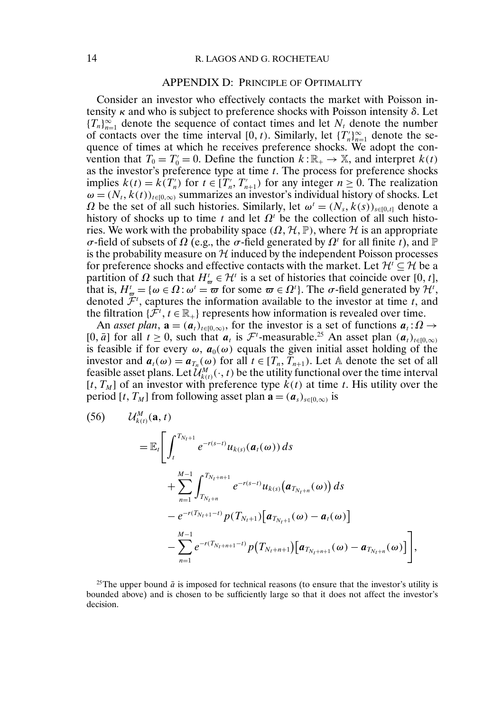## 14 R. LAGOS AND G. ROCHETEAU

### APPENDIX D: PRINCIPLE OF OPTIMALITY

Consider an investor who effectively contacts the market with Poisson intensity  $\kappa$  and who is subject to preference shocks with Poisson intensity  $\delta$ . Let  ${T_n}_{n=1}^{\infty}$  denote the sequence of contact times and let  $N_t$  denote the number of contacts over the time interval [0, t). Similarly, let  $\{T_n'\}_{n=1}^{\infty}$  denote the sequence of times at which he receives preference shocks. We adopt the convention that  $T_0 = T'_0 = 0$ . Define the function  $k : \mathbb{R}_+ \to \mathbb{X}$ , and interpret  $k(t)$ as the investor's preference type at time  $t$ . The process for preference shocks implies  $k(t) = k(T'_n)$  for  $t \in [T'_n, T'_{n+1})$  for any integer  $n \ge 0$ . The realization  $\omega = (N_t, k(t))_{t \in [0,\infty)}$  summarizes an investor's individual history of shocks. Let  $\Omega$  be the set of all such histories. Similarly, let  $\omega^t = (N_s, k(s))_{s \in [0,t]}$  denote a history of shocks up to time t and let  $\Omega^t$  be the collection of all such histories. We work with the probability space  $(\Omega, \mathcal{H}, \mathbb{P})$ , where  $\mathcal{H}$  is an appropriate σ-field of subsets of  $\Omega$  (e.g., the σ-field generated by  $\Omega^t$  for all finite t), and  $\mathbb P$ is the probability measure on  $\mathcal H$  induced by the independent Poisson processes for preference shocks and effective contacts with the market. Let  $\mathcal{H} \subseteq \mathcal{H}$  be a partition of  $\Omega$  such that  $H^t_{\varpi} \in \mathcal{H}^t$  is a set of histories that coincide over  $[0, t]$ , that is,  $H^t_{\sigma} = \{ \omega \in \Omega : \omega^t = \overline{\omega} \text{ for some } \overline{\omega} \in \Omega^t \}.$  The  $\sigma$ -field generated by  $\mathcal{H}^t$ , denoted  $\mathcal{F}^t$ , captures the information available to the investor at time t, and the filtration  $\{\mathcal{F}^t, t \in \mathbb{R}_+\}$  represents how information is revealed over time.

An *asset plan*,  $\mathbf{a} = (a_t)_{t \in [0,\infty)}$ , for the investor is a set of functions  $a_t : \Omega \to$ [0,  $\bar{a}$ ] for all  $t \ge 0$ , such that  $a_t$  is  $\mathcal{F}^t$ -measurable.<sup>25</sup> An asset plan  $(a_t)_{t \in [0,\infty)}$ is feasible if for every  $\omega$ ,  $a_0(\omega)$  equals the given initial asset holding of the investor and  $a_t(\omega) = a_{T_n}(\omega)$  for all  $t \in [T_n, T_{n+1})$ . Let A denote the set of all feasible asset plans. Let  $\mathcal{U}^{M}_{k(t)}(\cdot,t)$  be the utility functional over the time interval  $[t, T_M]$  of an investor with preference type  $k(t)$  at time t. His utility over the period [t, T<sub>M</sub>] from following asset plan  $\mathbf{a} = (a_s)_{s \in [0,\infty)}$  is

(56) 
$$
U_{k(t)}^M(\mathbf{a}, t) = \mathbb{E}_t \bigg[ \int_t^{T_{N_t+1}} e^{-r(s-t)} u_{k(s)}(\mathbf{a}_t(\omega)) ds + \sum_{n=1}^{M-1} \int_{T_{N_t+n}}^{T_{N_t+n+1}} e^{-r(s-t)} u_{k(s)}(\mathbf{a}_{T_{N_t+n}}(\omega)) ds - e^{-r(T_{N_t+1}-t)} p(T_{N_t+1}) [\mathbf{a}_{T_{N_t+1}}(\omega) - \mathbf{a}_t(\omega)] - \sum_{n=1}^{M-1} e^{-r(T_{N_t+n+1}-t)} p(T_{N_t+n+1}) [\mathbf{a}_{T_{N_t+n+1}}(\omega) - \mathbf{a}_{T_{N_t+n}}(\omega)] \bigg],
$$

<sup>25</sup>The upper bound  $\bar{a}$  is imposed for technical reasons (to ensure that the investor's utility is bounded above) and is chosen to be sufficiently large so that it does not affect the investor's decision.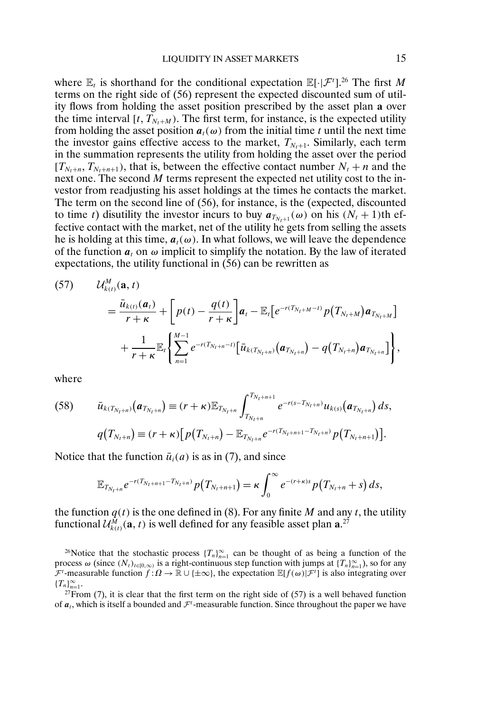where  $\mathbb{E}_t$  is shorthand for the conditional expectation  $\mathbb{E}[\cdot|\mathcal{F}^t]$ .<sup>26</sup> The first M terms on the right side of (56) represent the expected discounted sum of utility flows from holding the asset position prescribed by the asset plan **a** over the time interval  $[t, T_{N_t+M})$ . The first term, for instance, is the expected utility from holding the asset position  $a_t(\omega)$  from the initial time t until the next time the investor gains effective access to the market,  $T_{N_t+1}$ . Similarly, each term in the summation represents the utility from holding the asset over the period  $[T_{N_t+n}, T_{N_t+n+1})$ , that is, between the effective contact number  $N_t + n$  and the next one. The second M terms represent the expected net utility cost to the investor from readjusting his asset holdings at the times he contacts the market. The term on the second line of (56), for instance, is the (expected, discounted to time t) disutility the investor incurs to buy  $a_{T_{N+1}}(\omega)$  on his  $(N_t + 1)$ th effective contact with the market, net of the utility he gets from selling the assets he is holding at this time,  $a_t(\omega)$ . In what follows, we will leave the dependence of the function  $a_t$  on  $\omega$  implicit to simplify the notation. By the law of iterated expectations, the utility functional in (56) can be rewritten as

(57) 
$$
U_{k(t)}^M(\mathbf{a},t) = \frac{\bar{u}_{k(t)}(\mathbf{a},t)}{r+\kappa} + \left[ p(t) - \frac{q(t)}{r+\kappa} \right] \mathbf{a}_t - \mathbb{E}_t \left[ e^{-r(T_{N_t+M}-t)} p(T_{N_t+M}) \mathbf{a}_{T_{N_t+M}} \right] + \frac{1}{r+\kappa} \mathbb{E}_t \left\{ \sum_{n=1}^{M-1} e^{-r(T_{N_t+n}-t)} \left[ \bar{u}_{k(T_{N_t+n})} (\mathbf{a}_{T_{N_t+n}}) - q(T_{N_t+n}) \mathbf{a}_{T_{N_t+n}} \right] \right\},
$$

where

(58) 
$$
\bar{u}_{k(T_{N_t+n})}(a_{T_{N_t+n}}) \equiv (r+\kappa) \mathbb{E}_{T_{N_t+n}} \int_{T_{N_t+n}}^{T_{N_t+n+1}} e^{-r(s-T_{N_t+n})} u_{k(s)}(a_{T_{N_t+n}}) ds,
$$

$$
q(T_{N_t+n}) \equiv (r+\kappa) \big[ p(T_{N_t+n}) - \mathbb{E}_{T_{N_t+n}} e^{-r(T_{N_t+n+1}-T_{N_t+n})} p(T_{N_t+n+1}) \big].
$$

Notice that the function  $\bar{u}_i(a)$  is as in (7), and since

$$
\mathbb{E}_{T_{N_t+n}}e^{-r(T_{N_t+n+1}-T_{N_t+n})}p(T_{N_t+n+1})=\kappa\int_0^{\infty}e^{-(r+\kappa)s}p(T_{N_t+n}+s)\,ds,
$$

the function  $q(t)$  is the one defined in (8). For any finite M and any t, the utility functional  $\mathcal{U}_{k(t)}^M(\mathbf{a}, t)$  is well defined for any feasible asset plan  $\mathbf{a}$ .<sup>27</sup>

<sup>26</sup>Notice that the stochastic process  $\{T_n\}_{n=1}^{\infty}$  can be thought of as being a function of the process  $\omega$  (since  $(N_t)_{t\in[0,\infty)}$  is a right-continuous step function with jumps at  $\{T_n\}_{n=1}^{\infty}$ ), so for any  $\mathcal{F}^t$ -measurable function  $f: \Omega \to \mathbb{R} \cup \{\pm \infty\}$ , the expectation  $\mathbb{E}[f(\omega)|\mathcal{F}^t]$  is also integrating over  ${T_n}_{n=1}^{\infty}$ .

<sup>27</sup>From (7), it is clear that the first term on the right side of (57) is a well behaved function of  $a_t$ , which is itself a bounded and  $\mathcal{F}^t$ -measurable function. Since throughout the paper we have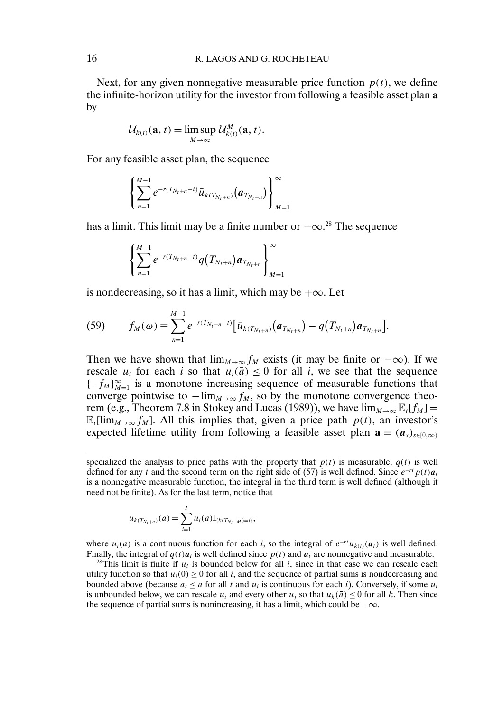Next, for any given nonnegative measurable price function  $p(t)$ , we define the infinite-horizon utility for the investor from following a feasible asset plan **a** by

$$
\mathcal{U}_{k(t)}(\mathbf{a},t)=\limsup_{M\to\infty}\mathcal{U}_{k(t)}^M(\mathbf{a},t).
$$

For any feasible asset plan, the sequence

$$
\left\{\sum_{n=1}^{M-1} e^{-r(T_{N_t+n}-t)} \bar{u}_{k(T_{N_t+n})}\left(\boldsymbol{a}_{T_{N_t+n}}\right)\right\}_{M=1}^{\infty}
$$

has a limit. This limit may be a finite number or  $-\infty$ .<sup>28</sup> The sequence

$$
\left\{\sum_{n=1}^{M-1} e^{-r(T_{N_t+n}-t)}q(T_{N_t+n})a_{T_{N_t+n}}\right\}_{M=1}^{\infty}
$$

is nondecreasing, so it has a limit, which may be  $+\infty$ . Let

(59) 
$$
f_M(\omega) \equiv \sum_{n=1}^{M-1} e^{-r(T_{N_t+n}-t)} \big[ \bar{u}_{k(T_{N_t+n})}(a_{T_{N_t+n}}) - q(T_{N_t+n}) a_{T_{N_t+n}} \big].
$$

Then we have shown that  $\lim_{M\to\infty}f_M$  exists (it may be finite or  $-\infty$ ). If we rescale  $u_i$  for each i so that  $u_i(\bar{a}) \leq 0$  for all i, we see that the sequence  ${-f_M}_{M=1}^{\infty}$  is a monotone increasing sequence of measurable functions that converge pointwise to  $-\lim_{M\to\infty} f_M$ , so by the monotone convergence theorem (e.g., Theorem 7.8 in Stokey and Lucas (1989)), we have  $\lim_{M\to\infty} \mathbb{E}_t[f_M] =$  $\mathbb{E}_{t}[\lim_{M\to\infty}f_M]$ . All this implies that, given a price path  $p(t)$ , an investor's expected lifetime utility from following a feasible asset plan  $\mathbf{a} = (a_s)_{s \in [0,\infty)}$ 

$$
\bar{u}_{k(T_{N_t+n})}(a) = \sum_{i=1}^l \bar{u}_i(a) \mathbb{I}_{\{k(T_{N_t+M})=i\}},
$$

where  $\bar{u}_i(a)$  is a continuous function for each i, so the integral of  $e^{-rt}\bar{u}_{k(t)}(a_t)$  is well defined. Finally, the integral of  $q(t)a_t$  is well defined since  $p(t)$  and  $a_t$  are nonnegative and measurable.

<sup>28</sup>This limit is finite if  $u_i$  is bounded below for all i, since in that case we can rescale each utility function so that  $u_i(0) \ge 0$  for all i, and the sequence of partial sums is nondecreasing and bounded above (because  $a_t \leq \bar{a}$  for all t and  $u_i$  is continuous for each i). Conversely, if some  $u_i$ is unbounded below, we can rescale  $u_i$  and every other  $u_i$  so that  $u_k(\bar{a}) \leq 0$  for all k. Then since the sequence of partial sums is nonincreasing, it has a limit, which could be  $-\infty$ .

specialized the analysis to price paths with the property that  $p(t)$  is measurable,  $q(t)$  is well defined for any t and the second term on the right side of (57) is well defined. Since  $e^{-rt}p(t)a_t$ is a nonnegative measurable function, the integral in the third term is well defined (although it need not be finite). As for the last term, notice that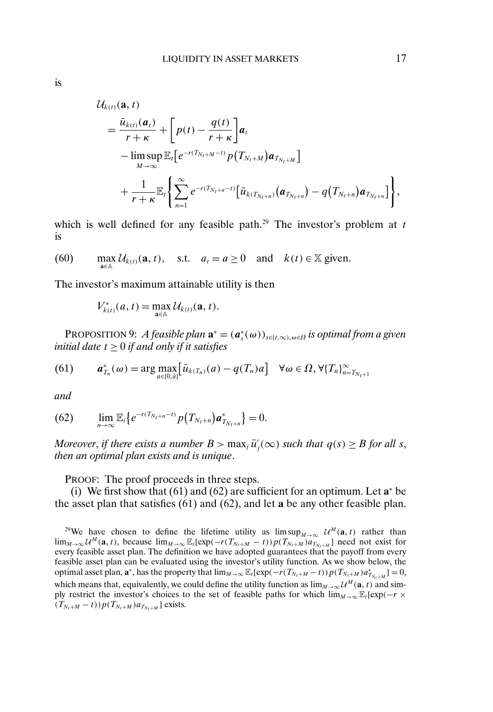$$
\mathcal{U}_{k(t)}(\mathbf{a},t) = \frac{\bar{u}_{k(t)}(\mathbf{a}_t)}{r+\kappa} + \left[ p(t) - \frac{q(t)}{r+\kappa} \right] \mathbf{a}_t \n- \limsup_{M \to \infty} \mathbb{E}_t \left[ e^{-r(T_{N_t+M}-t)} p(T_{N_t+M}) \mathbf{a}_{T_{N_t+M}} \right] \n+ \frac{1}{r+\kappa} \mathbb{E}_t \left\{ \sum_{n=1}^{\infty} e^{-r(T_{N_t+n}-t)} \left[ \bar{u}_{k(T_{N_t+n})} (\mathbf{a}_{T_{N_t+n}}) - q(T_{N_t+n}) \mathbf{a}_{T_{N_t+n}} \right] \right\},
$$

which is well defined for any feasible path.<sup>29</sup> The investor's problem at  $t$ is

(60) 
$$
\max_{a \in A} \mathcal{U}_{k(t)}(a, t), \quad \text{s.t.} \quad a_t = a \ge 0 \quad \text{and} \quad k(t) \in \mathbb{X} \text{ given.}
$$

The investor's maximum attainable utility is then

$$
V_{k(t)}^*(a,t) = \max_{\mathbf{a}\in\mathbb{A}} \mathcal{U}_{k(t)}(\mathbf{a},t).
$$

PROPOSITION 9: *A feasible plan*  $\mathbf{a}^* = (\boldsymbol{a}_s^*(\omega))_{s \in [t,\infty), \omega \in \Omega}$  *is optimal from a given initial date* t ≥ 0 *if and only if it satisfies*

(61) 
$$
\boldsymbol{a}_{T_n}^*(\omega) = \arg \max_{a \in [0, \tilde{a}]} \left[ \bar{u}_{k(T_n)}(a) - q(T_n) a \right] \quad \forall \omega \in \Omega, \forall \{T_n\}_{n = T_{N_t+1}}^{\infty}
$$

*and*

(62) 
$$
\lim_{n\to\infty} \mathbb{E}_i \big\{ e^{-r(T_{N_t+n}-t)} p(T_{N_t+n}) a^*_{T_{N_t+n}} \big\} = 0.
$$

*Moreover, if there exists a number*  $B > \max_j \bar{u}'_j(\infty)$  *such that*  $q(s) \geq B$  *for all s*, *then an optimal plan exists and is unique*.

PROOF: The proof proceeds in three steps.

(i) We first show that (61) and (62) are sufficient for an optimum. Let **a**<sup>∗</sup> be the asset plan that satisfies (61) and (62), and let **a** be any other feasible plan.

<sup>&</sup>lt;sup>29</sup>We have chosen to define the lifetime utility as  $\limsup_{M\to\infty}$   $\mathcal{U}^M(\mathbf{a},t)$  rather than lim<sub>M→∞</sub>  $\mathcal{U}^M$ (**a**, *t*), because lim<sub>M→∞</sub>  $\mathbb{E}_t[exp(-r(T_{N_t+M} - t))p(T_{N_t+M})a_{T_{N_t+M}}]$  need not exist for every feasible asset plan. The definition we have adopted guarantees that the payoff from every feasible asset plan can be evaluated using the investor's utility function. As we show below, the optimal asset plan,  $\mathbf{a}^*$ , has the property that  $\lim_{M\to\infty} \mathbb{E}_t[\exp(-r(T_{N_t+M}-t)) p(T_{N_t+M}) a^*_{T_{N_t+M}}] = 0$ , which means that, equivalently, we could define the utility function as  $\lim_{M\to\infty} U^M$  (a, t) and simply restrict the investor's choices to the set of feasible paths for which  $\lim_{M\to\infty}$  E<sub>t</sub>[exp(−r ×  $(T_{N_t+M}-t))p(T_{N_t+M})a_{T_{N_t+M}}$ ] exists.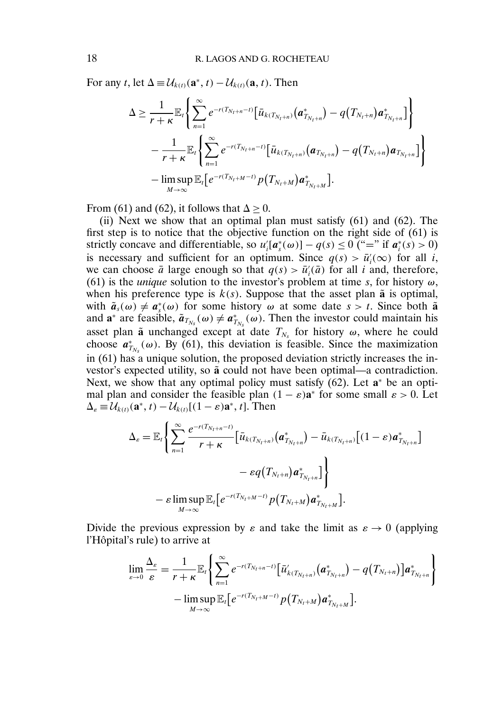For any t, let  $\Delta = \mathcal{U}_{k(t)}(\mathbf{a}^*, t) - \mathcal{U}_{k(t)}(\mathbf{a}, t)$ . Then

$$
\Delta \geq \frac{1}{r+\kappa} \mathbb{E}_{t} \Biggl\{ \sum_{n=1}^{\infty} e^{-r(T_{N_{t}+n}-t)} \Bigl[ \bar{u}_{k(T_{N_{t}+n})} (a_{T_{N_{t}+n}}^{*}) - q(T_{N_{t}+n}) a_{T_{N_{t}+n}}^{*} \Bigr] \Biggr\} -\frac{1}{r+\kappa} \mathbb{E}_{t} \Biggl\{ \sum_{n=1}^{\infty} e^{-r(T_{N_{t}+n}-t)} \Bigl[ \bar{u}_{k(T_{N_{t}+n})} (a_{T_{N_{t}+n}}) - q(T_{N_{t}+n}) a_{T_{N_{t}+n}} \Bigr] \Biggr\} -\limsup_{M \to \infty} \mathbb{E}_{t} \Biggl[ e^{-r(T_{N_{t}+M}-t)} p(T_{N_{t}+M}) a_{T_{N_{t}+M}}^{*} \Bigr].
$$

From (61) and (62), it follows that  $\Delta > 0$ .

(ii) Next we show that an optimal plan must satisfy (61) and (62). The first step is to notice that the objective function on the right side of (61) is strictly concave and differentiable, so  $u'_i[a^*_s(\omega)] - q(s) \le 0$  ("=" if  $a^*_i(s) > 0$ ) is necessary and sufficient for an optimum. Since  $q(s) > \bar{u}'_i(\infty)$  for all i, we can choose  $\bar{a}$  large enough so that  $q(s) > \bar{u}'_i(\bar{a})$  for all i and, therefore, (61) is the *unique* solution to the investor's problem at time s, for history  $\omega$ , when his preference type is  $k(s)$ . Suppose that the asset plan  $\tilde{a}$  is optimal, with  $\tilde{a}_s(\omega) \neq a_s^*(\omega)$  for some history  $\omega$  at some date  $s > t$ . Since both  $\tilde{a}$ and **a**<sup>∗</sup> are feasible,  $\tilde{a}_{T_{N_s}}(\omega) \neq a_{T_{N_s}}^*(\omega)$ . Then the investor could maintain his asset plan  $\tilde{a}$  unchanged except at date  $T_{N_s}$  for history  $\omega$ , where he could choose  $a_{T_{N_s}}^*(\omega)$ . By (61), this deviation is feasible. Since the maximization in (61) has a unique solution, the proposed deviation strictly increases the investor's expected utility, so  $\tilde{a}$  could not have been optimal—a contradiction. Next, we show that any optimal policy must satisfy (62). Let **a**<sup>∗</sup> be an optimal plan and consider the feasible plan  $(1 - \varepsilon)a^*$  for some small  $\varepsilon > 0$ . Let  $\Delta_{\varepsilon} \equiv \mathcal{U}_{k(t)}(\mathbf{a}^*, t) - \mathcal{U}_{k(t)}[(1-\varepsilon)\mathbf{a}^*, t]$ . Then

$$
\Delta_{\varepsilon} = \mathbb{E}_{t} \Biggl\{ \sum_{n=1}^{\infty} \frac{e^{-r(T_{N_{t}+n}-t)}}{r+\kappa} \Bigl[ \bar{u}_{k(T_{N_{t}+n})} \bigl( \bm{a}_{T_{N_{t}+n}}^{*} \bigr) - \bar{u}_{k(T_{N_{t}+n})} \bigl[ (1-\varepsilon) \bm{a}_{T_{N_{t}+n}}^{*} \bigr] \Biggr] \\ - \varepsilon q\bigl( T_{N_{t}+n} \bigr) \bm{a}_{T_{N_{t}+n}}^{*} \Bigr] \Biggr\} \\ - \varepsilon \limsup_{M \to \infty} \mathbb{E}_{t} \bigl[ e^{-r(T_{N_{t}+M}-t)} p\bigl( T_{N_{t}+M} \bigr) \bm{a}_{T_{N_{t}+M}}^{*} \bigr].
$$

Divide the previous expression by  $\varepsilon$  and take the limit as  $\varepsilon \to 0$  (applying l'Hôpital's rule) to arrive at

$$
\lim_{\varepsilon \to 0} \frac{\Delta_{\varepsilon}}{\varepsilon} = \frac{1}{r + \kappa} \mathbb{E}_{r} \Bigg\{ \sum_{n=1}^{\infty} e^{-r(T_{N_{t}+n}-t)} \big[ \bar{u}_{k(T_{N_{t}+n})}'(a_{T_{N_{t}+n}}^{*}) - q(T_{N_{t}+n}) \big] a_{T_{N_{t}+n}}^{*} \Bigg\} - \limsup_{M \to \infty} \mathbb{E}_{r} \big[ e^{-r(T_{N_{t}+M}-t)} p(T_{N_{t}+M}) a_{T_{N_{t}+M}}^{*} \big].
$$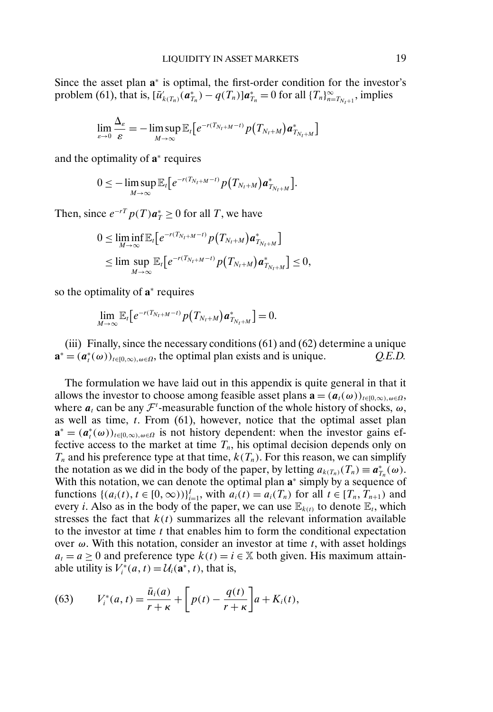Since the asset plan **a**<sup>∗</sup> is optimal, the first-order condition for the investor's problem (61), that is,  $[\bar{u}'_{k(T_n)}(a_{T_n}^*) - q(T_n)]a_{T_n}^* = 0$  for all  $\{T_n\}_{n=T_{N_t+1}}^{\infty}$ , implies

$$
\lim_{\varepsilon\to 0}\frac{\Delta_\varepsilon}{\varepsilon}=-\limsup_{M\to\infty}\mathbb{E}_t\big[e^{-r(T_{N_t+M}-t)}p\big(T_{N_t+M}\big)\bm{a}_{T_{N_t+M}}^*\big]
$$

and the optimality of **a**<sup>∗</sup> requires

$$
0 \leq -\limsup_{M \to \infty} \mathbb{E}_{t}[e^{-r(T_{N_{t}+M}-t)} p(T_{N_{t}+M}) a^{*}_{T_{N_{t}+M}}].
$$

Then, since  $e^{-rT} p(T) a^*_{T} \ge 0$  for all T, we have

$$
0 \leq \liminf_{M \to \infty} \mathbb{E}_{t} \big[ e^{-r(T_{N_t+M}-t)} p(T_{N_t+M}) a^*_{T_{N_t+M}} \big] \leq \limsup_{M \to \infty} \mathbb{E}_{t} \big[ e^{-r(T_{N_t+M}-t)} p(T_{N_t+M}) a^*_{T_{N_t+M}} \big] \leq 0,
$$

so the optimality of **a**<sup>∗</sup> requires

$$
\lim_{M\to\infty}\mathbb{E}_t\big[e^{-r(T_{N_t+M}-t)}p\big(T_{N_t+M}\big)a^*_{T_{N_t+M}}\big]=0.
$$

(iii) Finally, since the necessary conditions (61) and (62) determine a unique  $\mathbf{a}^* = (a_t^*(\omega))_{t \in [0,\infty), \omega \in \Omega}$ , the optimal plan exists and is unique. *Q.E.D.* 

The formulation we have laid out in this appendix is quite general in that it allows the investor to choose among feasible asset plans  $\mathbf{a} = (a_t(\omega))_{t \in [0,\infty), \omega \in \Omega}$ , where  $a_t$  can be any  $\mathcal{F}^t$ -measurable function of the whole history of shocks,  $\omega$ , as well as time,  $t$ . From (61), however, notice that the optimal asset plan  $\mathbf{a}^* = (\mathbf{a}_t^*(\omega))_{t \in [0,\infty), \omega \in \Omega}$  is not history dependent: when the investor gains effective access to the market at time  $T_n$ , his optimal decision depends only on  $T_n$  and his preference type at that time,  $k(T_n)$ . For this reason, we can simplify the notation as we did in the body of the paper, by letting  $a_{k(T_n)}(T_n) \equiv \boldsymbol{a}_{T_n}^*(\omega)$ . With this notation, we can denote the optimal plan **a**<sup>∗</sup> simply by a sequence of functions  $\{(a_i(t), t \in [0, \infty))\}_{i=1}^I$ , with  $a_i(t) = a_i(T_n)$  for all  $t \in [T_n, T_{n+1})$  and every *i*. Also as in the body of the paper, we can use  $\mathbb{E}_{k(t)}$  to denote  $\mathbb{E}_t$ , which stresses the fact that  $k(t)$  summarizes all the relevant information available to the investor at time  $t$  that enables him to form the conditional expectation over  $\omega$ . With this notation, consider an investor at time t, with asset holdings  $a_t = a \geq 0$  and preference type  $k(t) = i \in \mathbb{X}$  both given. His maximum attainable utility is  $V_i^*(a, t) = \mathcal{U}_i(\mathbf{a}^*, t)$ , that is,

(63) 
$$
V_i^*(a,t) = \frac{\bar{u}_i(a)}{r+\kappa} + \left[p(t) - \frac{q(t)}{r+\kappa}\right]a + K_i(t),
$$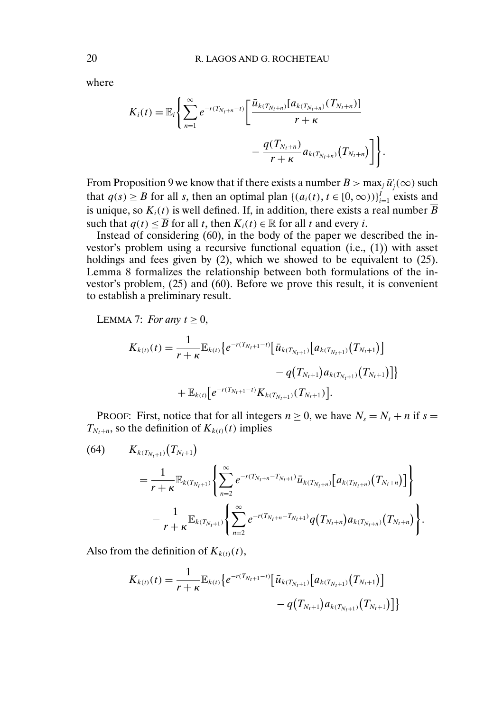where

$$
K_i(t) = \mathbb{E}_i \Bigg\{ \sum_{n=1}^{\infty} e^{-r(T_{N_t+n}-t)} \Bigg[ \frac{\bar{u}_{k(T_{N_t+n})}[a_{k(T_{N_t+n})}(T_{N_t+n})]}{r+\kappa} - \frac{q(T_{N_t+n})}{r+\kappa} a_{k(T_{N_t+n})}(T_{N_t+n}) \Bigg] \Bigg\}
$$

From Proposition 9 we know that if there exists a number  $B > \max_j \bar{u}'_j(\infty)$  such that  $q(s) \ge B$  for all s, then an optimal plan  $\{(a_i(t), t \in [0, \infty))\}_{i=1}^I$  exists and is unique, so  $K_i(t)$  is well defined. If, in addition, there exists a real number  $\overline{B}$ such that  $q(t) \leq \overline{B}$  for all t, then  $K_i(t) \in \mathbb{R}$  for all t and every i.

.

Instead of considering (60), in the body of the paper we described the investor's problem using a recursive functional equation (i.e., (1)) with asset holdings and fees given by (2), which we showed to be equivalent to (25). Lemma 8 formalizes the relationship between both formulations of the investor's problem, (25) and (60). Before we prove this result, it is convenient to establish a preliminary result.

LEMMA 7: *For any*  $t \geq 0$ ,

$$
K_{k(t)}(t) = \frac{1}{r+\kappa} \mathbb{E}_{k(t)} \big\{ e^{-r(T_{N_t+1}-t)} \big[ \bar{u}_{k(T_{N_t+1})} \big[ a_{k(T_{N_t+1})} \big( T_{N_t+1} \big) \big] - q\big( T_{N_t+1} \big) a_{k(T_{N_t+1})} \big( T_{N_t+1} \big) \big] \big\}
$$
  
+ 
$$
\mathbb{E}_{k(t)} \big[ e^{-r(T_{N_t+1}-t)} K_{k(T_{N_t+1})} \big( T_{N_t+1} \big) \big].
$$

PROOF: First, notice that for all integers  $n \geq 0$ , we have  $N_s = N_t + n$  if  $s =$  $T_{N_t+n}$ , so the definition of  $K_{k(t)}(t)$  implies

(64) 
$$
K_{k(T_{N_t+1})}(T_{N_t+1}) = \frac{1}{r+\kappa} \mathbb{E}_{k(T_{N_t+1})} \left\{ \sum_{n=2}^{\infty} e^{-r(T_{N_t+n}-T_{N_t+1})} \bar{u}_{k(T_{N_t+n})} [a_{k(T_{N_t+n})}(T_{N_t+n})] \right\} - \frac{1}{r+\kappa} \mathbb{E}_{k(T_{N_t+1})} \left\{ \sum_{n=2}^{\infty} e^{-r(T_{N_t+n}-T_{N_t+1})} q(T_{N_t+n}) a_{k(T_{N_t+n})}(T_{N_t+n}) \right\}.
$$

Also from the definition of  $K_{k(t)}(t)$ ,

$$
K_{k(t)}(t) = \frac{1}{r+\kappa} \mathbb{E}_{k(t)} \big\{ e^{-r(T_{N_t+1}-t)} \big[ \bar{u}_{k(T_{N_t+1})} \big[ a_{k(T_{N_t+1})} \big( T_{N_t+1} \big) \big] - q\big( T_{N_t+1} \big) a_{k(T_{N_t+1})} \big( T_{N_t+1} \big) \big] \big\}
$$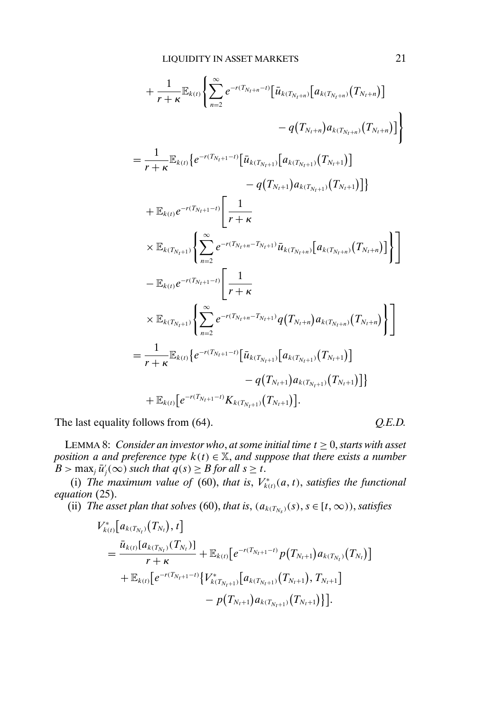$$
+\frac{1}{r+\kappa}\mathbb{E}_{k(t)}\left\{\sum_{n=2}^{\infty}e^{-r(T_{N_t+n}-t)}\left[\bar{u}_{k(T_{N_t+n})}\left[a_{k(T_{N_t+n})}(T_{N_t+n})\right]\right]\right\}-\frac{1}{r+\kappa}\mathbb{E}_{k(t)}\left\{e^{-r(T_{N_t+n}-t)}\left[\bar{u}_{k(T_{N_t+n})}\left[a_{k(T_{N_t+n})}(T_{N_t+n})\right]\right]\right\}-\frac{1}{r+\kappa}\mathbb{E}_{k(t)}\left\{e^{-r(T_{N_t+n}-t)}\left[\bar{u}_{k(T_{N_t+n})}\left[a_{k(T_{N_t+n})}(T_{N_t+n})\right]\right\}-\frac{q(T_{N_t+n})a_{k(T_{N_t+n})}(T_{N_t+n})\right]\right\}
$$
\times \mathbb{E}_{k(t)}e^{-r(T_{N_t+n}-t)}\left[\frac{1}{r+\kappa}\right]
$$
  

$$
-\mathbb{E}_{k(t)}e^{-r(T_{N_t+n}-t)}\left[\frac{1}{r+\kappa}\right]
$$
  

$$
\times \mathbb{E}_{k(T_{N_t+n})}\left\{\sum_{n=2}^{\infty}e^{-r(T_{N_t+n}-T_{N_t+n})}q(T_{N_t+n})a_{k(T_{N_t+n})}(T_{N_t+n})\right\}\right]
$$
  

$$
=\frac{1}{r+\kappa}\mathbb{E}_{k(t)}\left\{e^{-r(T_{N_t+n}-t)}\left[\bar{u}_{k(T_{N_t+n})}\left[a_{k(T_{N_t+n})}(T_{N_t+n})\right]\right]
$$
  

$$
-q(T_{N_t+n})a_{k(T_{N_t+n})}(T_{N_t+n})\right]\right\}
$$
  
+
$$
\mathbb{E}_{k(t)}\left[e^{-r(T_{N_t+n}-t)}K_{k(T_{N_t+n})}(T_{N_t+n})\right].
$$
$$

The last equality follows from (64).  $Q.E.D.$ 

LEMMA 8: *Consider an investor who, at some initial time*  $t \geq 0$ *, starts with asset position a and preference type*  $k(t) \in \mathbb{X}$ , *and suppose that there exists a number*  $B > \max_j \bar{u}'_j(\infty)$  *such that*  $q(s) \geq B$  *for all*  $s \geq t$ *.* 

(i) *The maximum value of* (60), *that is*,  $V_{k(t)}^*(a, t)$ , *satisfies the functional equation* (25).

(ii) *The asset plan that solves* (60), *that is*,  $(a_{k(T_N)}(s), s \in [t, \infty))$ , *satisfies* 

$$
V_{k(t)}^{*}[a_{k(T_{N_t})}(T_{N_t}),t] = \frac{\bar{u}_{k(t)}[a_{k(T_{N_t})}(T_{N_t})]}{r+\kappa} + \mathbb{E}_{k(t)}[e^{-r(T_{N_t+1}-t)}p(T_{N_t+1})a_{k(T_{N_t})}(T_{N_t})] + \mathbb{E}_{k(t)}[e^{-r(T_{N_t+1}-t)}\{V_{k(T_{N_t+1})}^{*}[a_{k(T_{N_t+1})}(T_{N_t+1}), T_{N_t+1}]-p(T_{N_t+1})a_{k(T_{N_t+1})}(T_{N_t+1})\}].
$$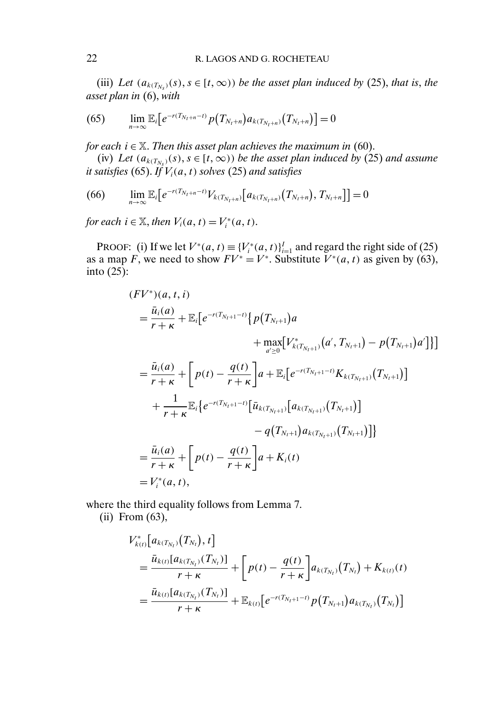(iii) *Let*  $(a_{k(T_{N_s})}(s), s \in [t, \infty))$  *be the asset plan induced by* (25), *that is, the asset plan in* (6), *with*

(65) 
$$
\lim_{n\to\infty} \mathbb{E}_i \big[ e^{-r(T_{N_t+n}-t)} p(T_{N_t+n}) a_{k(T_{N_t+n})}(T_{N_t+n}) \big] = 0
$$

*for each*  $i \in \mathbb{X}$ . *Then this asset plan achieves the maximum in* (60).

(iv) *Let*  $(a_{k(T_N)})$ (s),  $s \in [t, \infty)$ ) *be the asset plan induced by* (25) *and assume it satisfies* (65). *If*  $V_i(a, t)$  *solves* (25) *and satisfies* 

(66) 
$$
\lim_{n\to\infty} \mathbb{E}_i \big[ e^{-r(T_{N_t+n}-t)} V_{k(T_{N_t+n})} \big[ a_{k(T_{N_t+n})}(T_{N_t+n}), T_{N_t+n} \big] \big] = 0
$$

*for each*  $i \in \mathbb{X}$ , *then*  $V_i(a, t) = V_i^*(a, t)$ .

PROOF: (i) If we let  $V^*(a, t) \equiv \{V_i^*(a, t)\}_{i=1}^I$  and regard the right side of (25) as a map F, we need to show  $FV^* = V^*$ . Substitute  $V^*(a, t)$  as given by (63), into (25):

$$
(FV^*)(a, t, i)
$$
  
\n
$$
= \frac{\bar{u}_i(a)}{r+\kappa} + \mathbb{E}_i \Big[ e^{-r(T_{N_t+1}-t)} \Big\{ p(T_{N_t+1})a + \max_{a' \ge 0} [V^*_{k(T_{N_t+1})}(a', T_{N_t+1}) - p(T_{N_t+1})a'] \Big\} \Big]
$$
  
\n
$$
= \frac{\bar{u}_i(a)}{r+\kappa} + \Big[ p(t) - \frac{q(t)}{r+\kappa} \Big] a + \mathbb{E}_i \Big[ e^{-r(T_{N_t+1}-t)} K_{k(T_{N_t+1})}(T_{N_t+1}) \Big]
$$
  
\n
$$
+ \frac{1}{r+\kappa} \mathbb{E}_i \Big\{ e^{-r(T_{N_t+1}-t)} \Big[ \bar{u}_{k(T_{N_t+1})}[a_{k(T_{N_t+1})}(T_{N_t+1})] \Big] - q(T_{N_t+1})a_{k(T_{N_t+1})}(T_{N_t+1}) \Big] \Big\}
$$
  
\n
$$
= \frac{\bar{u}_i(a)}{r+\kappa} + \Big[ p(t) - \frac{q(t)}{r+\kappa} \Big] a + K_i(t)
$$
  
\n
$$
= V_i^*(a, t),
$$

where the third equality follows from Lemma 7.

(ii) From (63),

$$
V_{k(t)}^{*}[a_{k(T_{N_t})}(T_{N_t}), t]
$$
  
= 
$$
\frac{\bar{u}_{k(t)}[a_{k(T_{N_t})}(T_{N_t})]}{r+\kappa} + \left[p(t) - \frac{q(t)}{r+\kappa}\right]a_{k(T_{N_t})}(T_{N_t}) + K_{k(t)}(t)
$$
  
= 
$$
\frac{\bar{u}_{k(t)}[a_{k(T_{N_t})}(T_{N_t})]}{r+\kappa} + \mathbb{E}_{k(t)}[e^{-r(T_{N_t+1}-t)}p(T_{N_t+1})a_{k(T_{N_t})}(T_{N_t})]
$$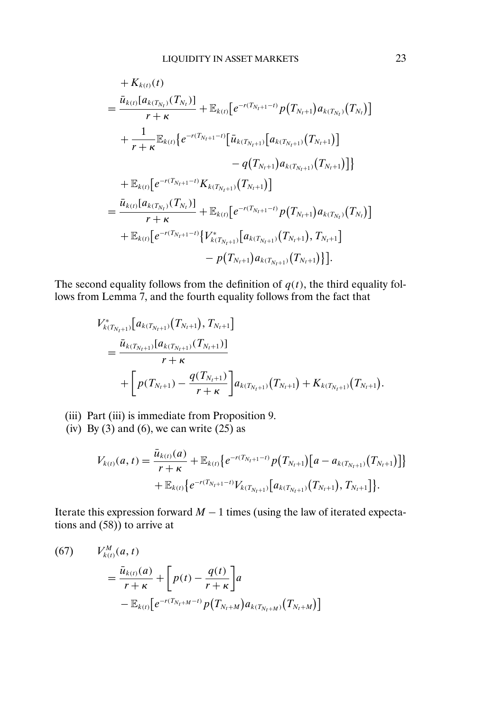$$
+ K_{k(t)}(t)
$$
\n
$$
= \frac{\bar{u}_{k(t)}[a_{k(T_{N_t})}(T_{N_t})]}{r+\kappa} + \mathbb{E}_{k(t)}[e^{-r(T_{N_t+1}-t)}p(T_{N_t+1})a_{k(T_{N_t})}(T_{N_t})]
$$
\n
$$
+ \frac{1}{r+\kappa} \mathbb{E}_{k(t)}\{e^{-r(T_{N_t+1}-t)}[\bar{u}_{k(T_{N_t+1})}[a_{k(T_{N_t+1})}(T_{N_t+1})] - q(T_{N_t+1})a_{k(T_{N_t+1})}(T_{N_t+1})]\}
$$
\n
$$
+ \mathbb{E}_{k(t)}[e^{-r(T_{N_t+1}-t)}K_{k(T_{N_t+1})}(T_{N_t+1})]
$$
\n
$$
= \frac{\bar{u}_{k(t)}[a_{k(T_{N_t})}(T_{N_t})]}{r+\kappa} + \mathbb{E}_{k(t)}[e^{-r(T_{N_t+1}-t)}p(T_{N_t+1})a_{k(T_{N_t})}(T_{N_t})] + \mathbb{E}_{k(t)}[e^{-r(T_{N_t+1}-t)}\{V_{k(T_{N_t+1})}(T_{N_t+1}), T_{N_t+1}]} - p(T_{N_t+1})a_{k(T_{N_t+1})}(T_{N_t+1})\}].
$$

The second equality follows from the definition of  $q(t)$ , the third equality follows from Lemma 7, and the fourth equality follows from the fact that

$$
V_{k(T_{N_t+1})}^*[a_{k(T_{N_t+1})}(T_{N_t+1}), T_{N_t+1}]
$$
  
= 
$$
\frac{\bar{u}_{k(T_{N_t+1})}[a_{k(T_{N_t+1})}(T_{N_t+1})]}{r+\kappa} + \left[p(T_{N_t+1}) - \frac{q(T_{N_t+1})}{r+\kappa}\right]a_{k(T_{N_t+1})}(T_{N_t+1}) + K_{k(T_{N_t+1})}(T_{N_t+1}).
$$

- (iii) Part (iii) is immediate from Proposition 9.
- (iv) By (3) and (6), we can write  $(25)$  as

$$
V_{k(t)}(a,t) = \frac{\bar{u}_{k(t)}(a)}{r+\kappa} + \mathbb{E}_{k(t)} \big\{ e^{-r(T_{N_t+1}-t)} p(T_{N_t+1}) \big[a - a_{k(T_{N_t+1})}(T_{N_t+1})\big] \big\} + \mathbb{E}_{k(t)} \big\{ e^{-r(T_{N_t+1}-t)} V_{k(T_{N_t+1})} \big[a_{k(T_{N_t+1})}(T_{N_t+1}), T_{N_t+1}\big] \big\}.
$$

Iterate this expression forward  $M - 1$  times (using the law of iterated expectations and  $(58)$ ) to arrive at

(67) 
$$
V_{k(t)}^M(a,t) = \frac{\bar{u}_{k(t)}(a)}{r+\kappa} + \left[p(t) - \frac{q(t)}{r+\kappa}\right]a - \mathbb{E}_{k(t)}\left[e^{-r(T_{N_t+M}-t)}p(T_{N_t+M})a_{k(T_{N_t+M})}(T_{N_t+M})\right]
$$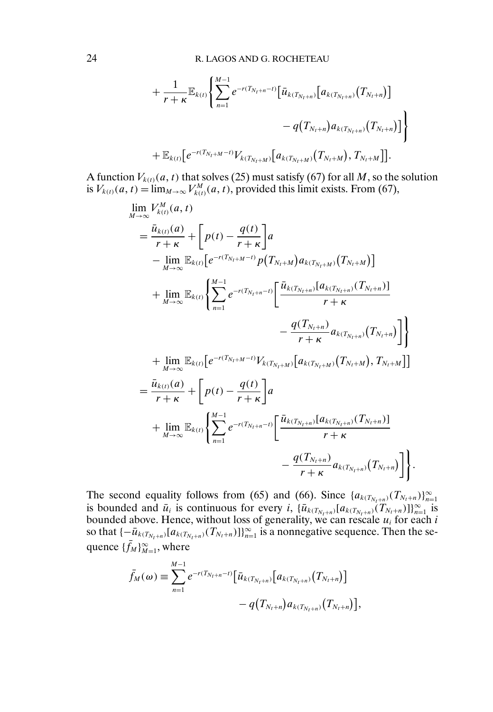$$
+\frac{1}{r+\kappa}\mathbb{E}_{k(t)}\Bigg\{\sum_{n=1}^{M-1}e^{-r(T_{N_t+n}-t)}\big[\bar{u}_{k(T_{N_t+n})}\big[a_{k(T_{N_t+n})}(T_{N_t+n})\big]\big] \\qquad \qquad -q\big(T_{N_t+n}\big)a_{k(T_{N_t+n})}(T_{N_t+n})\big]\Bigg\}\\+\mathbb{E}_{k(t)}\big[e^{-r(T_{N_t+M}-t)}V_{k(T_{N_t+M})}\big[a_{k(T_{N_t+M})}(T_{N_t+M}), T_{N_t+M}\big]\big].
$$

A function  $V_{k(t)}(a,t)$  that solves (25) must satisfy (67) for all  $M,$  so the solution is  $V_{k(t)}(a, t) = \lim_{M \to \infty} V_{k(t)}^M(a, t)$ , provided this limit exists. From (67),

$$
\lim_{M \to \infty} V_{k(t)}^{M}(a, t)
$$
\n
$$
= \frac{\bar{u}_{k(t)}(a)}{r + \kappa} + \left[ p(t) - \frac{q(t)}{r + \kappa} \right] a
$$
\n
$$
- \lim_{M \to \infty} \mathbb{E}_{k(t)} \left[ e^{-r(T_{N_t + M} - t)} p(T_{N_t + M}) a_{k(T_{N_t + M})} (T_{N_t + M}) \right]
$$
\n
$$
+ \lim_{M \to \infty} \mathbb{E}_{k(t)} \left\{ \sum_{n=1}^{M-1} e^{-r(T_{N_t + n} - t)} \left[ \frac{\bar{u}_{k(T_{N_t + n})} [a_{k(T_{N_t + n})} (T_{N_t + n})]}{r + \kappa} - \frac{q(T_{N_t + n})}{r + \kappa} a_{k(T_{N_t + n})} (T_{N_t + n}) \right] \right\}
$$
\n
$$
+ \lim_{M \to \infty} \mathbb{E}_{k(t)} \left[ e^{-r(T_{N_t + M} - t)} V_{k(T_{N_t + M})} [a_{k(T_{N_t + M})} (T_{N_t + M}), T_{N_t + M}] \right]
$$
\n
$$
= \frac{\bar{u}_{k(t)}(a)}{r + \kappa} + \left[ p(t) - \frac{q(t)}{r + \kappa} \right] a
$$
\n
$$
+ \lim_{M \to \infty} \mathbb{E}_{k(t)} \left\{ \sum_{n=1}^{M-1} e^{-r(T_{N_t + n} - t)} \left[ \frac{\bar{u}_{k(T_{N_t + n})} [a_{k(T_{N_t + n})} (T_{N_t + n})]}{r + \kappa} a_{k(T_{N_t + n})} (T_{N_t + n}) \right] \right\}.
$$

The second equality follows from (65) and (66). Since  $\{a_{k(T_{N_t+n})}(T_{N_t+n})\}_{n=1}^{\infty}$ is bounded and  $\bar{u}_i$  is continuous for every i,  $\{\bar{u}_{k(T_{N_t+n})}[a_{k(T_{N_t+n})}(T_{N_t+n})]\}_{n=1}^{\infty}$  is bounded above. Hence, without loss of generality, we can rescale  $u_i$  for each  $i$ so that  $\{-\bar{u}_{k(T_{N_t+n})}[a_{k(T_{N_t+n})}(T_{N_t+n})]\}_{n=1}^{\infty}$  is a nonnegative sequence. Then the sequence  $\{\bar{f}_M\}_{M=1}^{\infty}$ , where

$$
\bar{f}_M(\omega) \equiv \sum_{n=1}^{M-1} e^{-r(T_{N_t+n}-t)} \Big[ \bar{u}_{k(T_{N_t+n})} \Big[ a_{k(T_{N_t+n})} \big( T_{N_t+n} \big) \Big] - q\big( T_{N_t+n} \big) a_{k(T_{N_t+n})} \big( T_{N_t+n} \big) \Big],
$$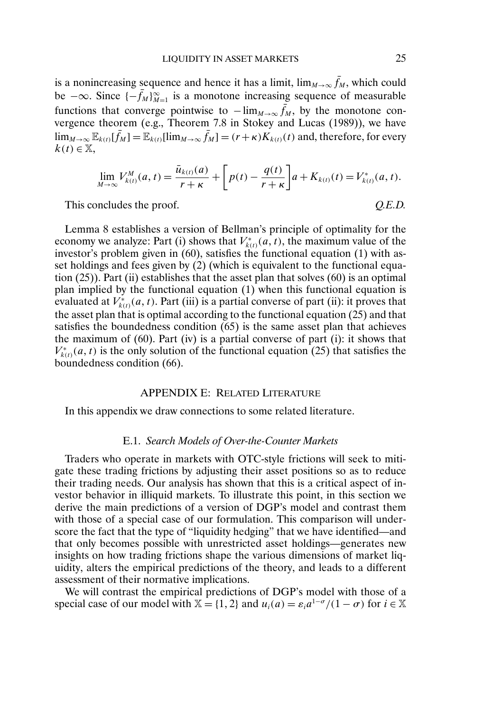is a nonincreasing sequence and hence it has a limit,  $\lim_{M\to\infty} f_M$ , which could be  $-\infty$ . Since  $\{-\bar{f}_M\}_{M=1}^{\infty}$  is a monotone increasing sequence of measurable functions that converge pointwise to  $-\lim_{M\to\infty} \bar{f}_M$ , by the monotone convergence theorem (e.g., Theorem 7.8 in Stokey and Lucas (1989)), we have  $\lim_{M\to\infty} \mathbb{E}_{k(t)}[\bar{f}_M] = \mathbb{E}_{k(t)}[\lim_{M\to\infty} \bar{f}_M] = (r+\kappa)K_{k(t)}(t)$  and, therefore, for every  $k(t) \in \mathbb{X}$ ,

$$
\lim_{M \to \infty} V_{k(t)}^M(a, t) = \frac{\bar{u}_{k(t)}(a)}{r + \kappa} + \left[ p(t) - \frac{q(t)}{r + \kappa} \right] a + K_{k(t)}(t) = V_{k(t)}^*(a, t).
$$

This concludes the proof. *Q.E.D.* 

Lemma 8 establishes a version of Bellman's principle of optimality for the economy we analyze: Part (i) shows that  $V_{k(t)}^*(a, t)$ , the maximum value of the investor's problem given in (60), satisfies the functional equation (1) with asset holdings and fees given by (2) (which is equivalent to the functional equation (25)). Part (ii) establishes that the asset plan that solves (60) is an optimal plan implied by the functional equation (1) when this functional equation is evaluated at  $V_{k(t)}^*(a, t)$ . Part (iii) is a partial converse of part (ii): it proves that the asset plan that is optimal according to the functional equation (25) and that satisfies the boundedness condition (65) is the same asset plan that achieves the maximum of (60). Part (iv) is a partial converse of part (i): it shows that  $V_{k(t)}^*(a, t)$  is the only solution of the functional equation (25) that satisfies the boundedness condition (66).

## APPENDIX E: RELATED LITERATURE

In this appendix we draw connections to some related literature.

#### E.1. *Search Models of Over-the-Counter Markets*

Traders who operate in markets with OTC-style frictions will seek to mitigate these trading frictions by adjusting their asset positions so as to reduce their trading needs. Our analysis has shown that this is a critical aspect of investor behavior in illiquid markets. To illustrate this point, in this section we derive the main predictions of a version of DGP's model and contrast them with those of a special case of our formulation. This comparison will underscore the fact that the type of "liquidity hedging" that we have identified—and that only becomes possible with unrestricted asset holdings—generates new insights on how trading frictions shape the various dimensions of market liquidity, alters the empirical predictions of the theory, and leads to a different assessment of their normative implications.

We will contrast the empirical predictions of DGP's model with those of a special case of our model with  $\mathbb{X} = \{1, 2\}$  and  $u_i(a) = \varepsilon_i a^{1-\sigma}/(1-\sigma)$  for  $i \in \mathbb{X}$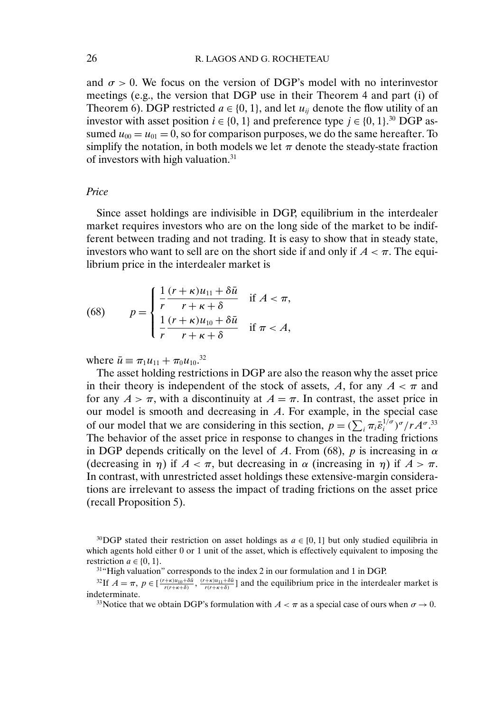and  $\sigma > 0$ . We focus on the version of DGP's model with no interinvestor meetings (e.g., the version that DGP use in their Theorem 4 and part (i) of Theorem 6). DGP restricted  $a \in \{0, 1\}$ , and let  $u_{ii}$  denote the flow utility of an investor with asset position  $i \in \{0, 1\}$  and preference type  $j \in \{0, 1\}$ .<sup>30</sup> DGP assumed  $u_{00} = u_{01} = 0$ , so for comparison purposes, we do the same hereafter. To simplify the notation, in both models we let  $\pi$  denote the steady-state fraction of investors with high valuation.31

### *Price*

Since asset holdings are indivisible in DGP, equilibrium in the interdealer market requires investors who are on the long side of the market to be indifferent between trading and not trading. It is easy to show that in steady state, investors who want to sell are on the short side if and only if  $A < \pi$ . The equilibrium price in the interdealer market is

(68) 
$$
p = \begin{cases} \frac{1}{r} \frac{(r+\kappa)u_{11} + \delta \bar{u}}{r+\kappa+\delta} & \text{if } A < \pi, \\ \frac{1}{r} \frac{(r+\kappa)u_{10} + \delta \bar{u}}{r+\kappa+\delta} & \text{if } \pi < A, \end{cases}
$$

where  $\bar{u} \equiv \pi_1 u_{11} + \pi_0 u_{10}.$ <sup>32</sup>

The asset holding restrictions in DGP are also the reason why the asset price in their theory is independent of the stock of assets, A, for any  $A < \pi$  and for any  $A > \pi$ , with a discontinuity at  $A = \pi$ . In contrast, the asset price in our model is smooth and decreasing in A. For example, in the special case of our model that we are considering in this section,  $p = (\sum_i \pi_i \bar{\varepsilon}_i^{1/\sigma})^{\sigma} / r A^{\sigma}$ .<sup>33</sup> The behavior of the asset price in response to changes in the trading frictions in DGP depends critically on the level of A. From (68), p is increasing in  $\alpha$ (decreasing in  $\eta$ ) if  $A < \pi$ , but decreasing in  $\alpha$  (increasing in  $\eta$ ) if  $A > \pi$ . In contrast, with unrestricted asset holdings these extensive-margin considerations are irrelevant to assess the impact of trading frictions on the asset price (recall Proposition 5).

<sup>&</sup>lt;sup>30</sup>DGP stated their restriction on asset holdings as  $a \in [0, 1]$  but only studied equilibria in which agents hold either 0 or 1 unit of the asset, which is effectively equivalent to imposing the restriction  $a \in \{0, 1\}.$ 

<sup>31&</sup>quot;High valuation" corresponds to the index 2 in our formulation and 1 in DGP.

<sup>&</sup>lt;sup>32</sup>If  $A = \pi$ ,  $p \in \left[\frac{(r+\kappa)u_{10}+\delta\bar{u}}{r(r+\kappa+\delta)}\right]$ ,  $\frac{(r+\kappa)u_{11}+\delta\bar{u}}{r(r+\kappa+\delta)}$  and the equilibrium price in the interdealer market is indeterminate.

<sup>&</sup>lt;sup>33</sup>Notice that we obtain DGP's formulation with  $A < \pi$  as a special case of ours when  $\sigma \rightarrow 0$ .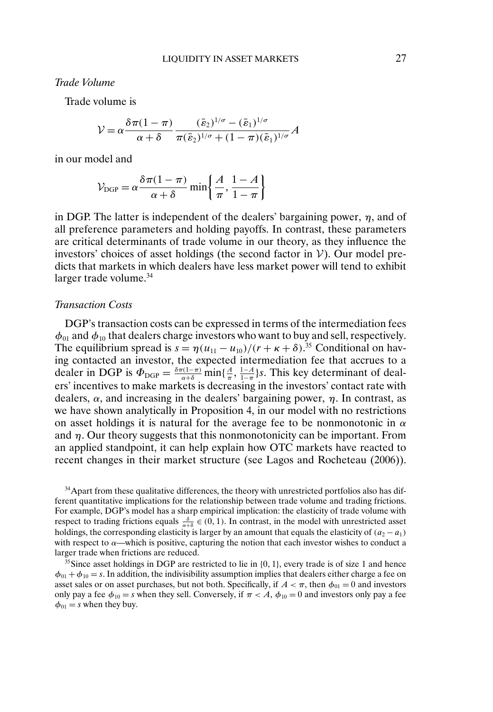*Trade Volume*

Trade volume is

$$
\mathcal{V} = \alpha \frac{\delta \pi (1 - \pi)}{\alpha + \delta} \frac{(\bar{\varepsilon}_2)^{1/\sigma} - (\bar{\varepsilon}_1)^{1/\sigma}}{\pi (\bar{\varepsilon}_2)^{1/\sigma} + (1 - \pi)(\bar{\varepsilon}_1)^{1/\sigma}} A
$$

in our model and

$$
\mathcal{V}_{\text{DGP}} = \alpha \frac{\delta \pi (1 - \pi)}{\alpha + \delta} \min \left\{ \frac{A}{\pi}, \frac{1 - A}{1 - \pi} \right\}
$$

in DGP. The latter is independent of the dealers' bargaining power,  $\eta$ , and of all preference parameters and holding payoffs. In contrast, these parameters are critical determinants of trade volume in our theory, as they influence the investors' choices of asset holdings (the second factor in  $V$ ). Our model predicts that markets in which dealers have less market power will tend to exhibit larger trade volume.<sup>34</sup>

### *Transaction Costs*

DGP's transaction costs can be expressed in terms of the intermediation fees  $\phi_{01}$  and  $\phi_{10}$  that dealers charge investors who want to buy and sell, respectively. The equilibrium spread is  $s = \eta (u_{11} - u_{10})/(r + \kappa + \delta).^{35}$  Conditional on having contacted an investor, the expected intermediation fee that accrues to a dealer in DGP is  $\Phi_{\text{DGP}} = \frac{\delta \pi (1-\pi)}{\alpha+\delta} \min\{\frac{A}{\pi}, \frac{1-A}{1-\pi}\}$ s. This key determinant of dealers' incentives to make markets is decreasing in the investors' contact rate with dealers,  $\alpha$ , and increasing in the dealers' bargaining power,  $\eta$ . In contrast, as we have shown analytically in Proposition 4, in our model with no restrictions on asset holdings it is natural for the average fee to be nonmonotonic in  $\alpha$ and  $\eta$ . Our theory suggests that this nonmonotonicity can be important. From an applied standpoint, it can help explain how OTC markets have reacted to recent changes in their market structure (see Lagos and Rocheteau (2006)).

<sup>34</sup>Apart from these qualitative differences, the theory with unrestricted portfolios also has different quantitative implications for the relationship between trade volume and trading frictions. For example, DGP's model has a sharp empirical implication: the elasticity of trade volume with respect to trading frictions equals  $\frac{\delta}{\alpha+\delta} \in (0, 1)$ . In contrast, in the model with unrestricted asset holdings, the corresponding elasticity is larger by an amount that equals the elasticity of  $(a_2 - a_1)$ with respect to  $\alpha$ —which is positive, capturing the notion that each investor wishes to conduct a larger trade when frictions are reduced.

 $35$ Since asset holdings in DGP are restricted to lie in  $\{0, 1\}$ , every trade is of size 1 and hence  $\phi_{01} + \phi_{10} = s$ . In addition, the indivisibility assumption implies that dealers either charge a fee on asset sales or on asset purchases, but not both. Specifically, if  $A < \pi$ , then  $\phi_{01} = 0$  and investors only pay a fee  $\phi_{10} = s$  when they sell. Conversely, if  $\pi < A$ ,  $\phi_{10} = 0$  and investors only pay a fee  $\phi_{01} = s$  when they buy.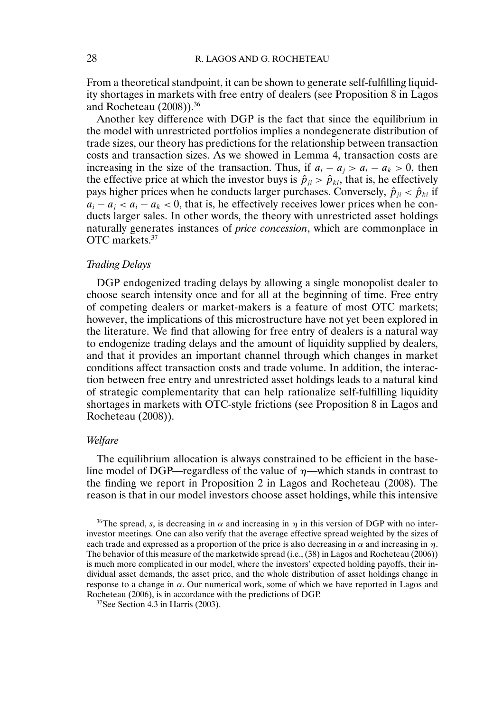From a theoretical standpoint, it can be shown to generate self-fulfilling liquidity shortages in markets with free entry of dealers (see Proposition 8 in Lagos and Rocheteau (2008)).36

Another key difference with DGP is the fact that since the equilibrium in the model with unrestricted portfolios implies a nondegenerate distribution of trade sizes, our theory has predictions for the relationship between transaction costs and transaction sizes. As we showed in Lemma 4, transaction costs are increasing in the size of the transaction. Thus, if  $a_i - a_j > a_i - a_k > 0$ , then the effective price at which the investor buys is  $\hat{p}_{ji} > \hat{p}_{ki}$ , that is, he effectively pays higher prices when he conducts larger purchases. Conversely,  $\hat{p}_{ii} < \hat{p}_{ki}$  if  $a_i - a_j < a_i - a_k < 0$ , that is, he effectively receives lower prices when he conducts larger sales. In other words, the theory with unrestricted asset holdings naturally generates instances of *price concession*, which are commonplace in OTC markets.<sup>37</sup>

## *Trading Delays*

DGP endogenized trading delays by allowing a single monopolist dealer to choose search intensity once and for all at the beginning of time. Free entry of competing dealers or market-makers is a feature of most OTC markets; however, the implications of this microstructure have not yet been explored in the literature. We find that allowing for free entry of dealers is a natural way to endogenize trading delays and the amount of liquidity supplied by dealers, and that it provides an important channel through which changes in market conditions affect transaction costs and trade volume. In addition, the interaction between free entry and unrestricted asset holdings leads to a natural kind of strategic complementarity that can help rationalize self-fulfilling liquidity shortages in markets with OTC-style frictions (see Proposition 8 in Lagos and Rocheteau (2008)).

#### *Welfare*

The equilibrium allocation is always constrained to be efficient in the baseline model of DGP—regardless of the value of  $\eta$ —which stands in contrast to the finding we report in Proposition 2 in Lagos and Rocheteau (2008). The reason is that in our model investors choose asset holdings, while this intensive

<sup>&</sup>lt;sup>36</sup>The spread, s, is decreasing in  $\alpha$  and increasing in  $\eta$  in this version of DGP with no interinvestor meetings. One can also verify that the average effective spread weighted by the sizes of each trade and expressed as a proportion of the price is also decreasing in  $\alpha$  and increasing in  $\eta$ . The behavior of this measure of the marketwide spread (i.e., (38) in Lagos and Rocheteau (2006)) is much more complicated in our model, where the investors' expected holding payoffs, their individual asset demands, the asset price, and the whole distribution of asset holdings change in response to a change in  $\alpha$ . Our numerical work, some of which we have reported in Lagos and Rocheteau (2006), is in accordance with the predictions of DGP.

<sup>37</sup>See Section 4.3 in Harris (2003).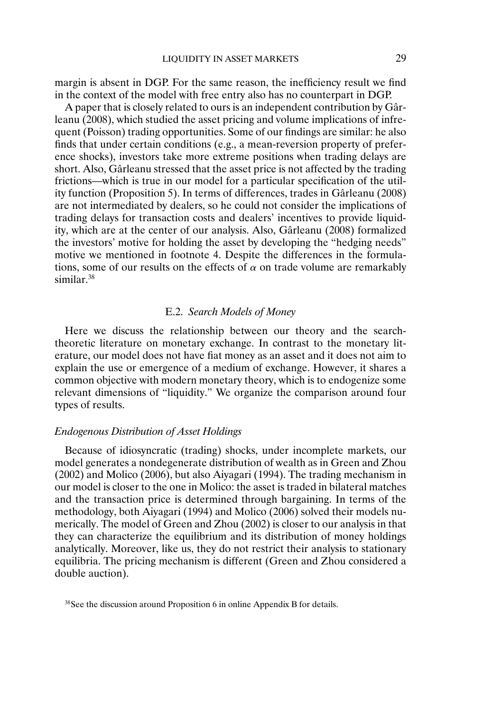margin is absent in DGP. For the same reason, the inefficiency result we find in the context of the model with free entry also has no counterpart in DGP.

A paper that is closely related to ours is an independent contribution by Gârleanu (2008), which studied the asset pricing and volume implications of infrequent (Poisson) trading opportunities. Some of our findings are similar: he also finds that under certain conditions (e.g., a mean-reversion property of preference shocks), investors take more extreme positions when trading delays are short. Also, Gârleanu stressed that the asset price is not affected by the trading frictions—which is true in our model for a particular specification of the utility function (Proposition 5). In terms of differences, trades in Gârleanu (2008) are not intermediated by dealers, so he could not consider the implications of trading delays for transaction costs and dealers' incentives to provide liquidity, which are at the center of our analysis. Also, Gârleanu (2008) formalized the investors' motive for holding the asset by developing the "hedging needs" motive we mentioned in footnote 4. Despite the differences in the formulations, some of our results on the effects of  $\alpha$  on trade volume are remarkably similar.<sup>38</sup>

## E.2. *Search Models of Money*

Here we discuss the relationship between our theory and the searchtheoretic literature on monetary exchange. In contrast to the monetary literature, our model does not have fiat money as an asset and it does not aim to explain the use or emergence of a medium of exchange. However, it shares a common objective with modern monetary theory, which is to endogenize some relevant dimensions of "liquidity." We organize the comparison around four types of results.

### *Endogenous Distribution of Asset Holdings*

Because of idiosyncratic (trading) shocks, under incomplete markets, our model generates a nondegenerate distribution of wealth as in Green and Zhou (2002) and Molico (2006), but also Aiyagari (1994). The trading mechanism in our model is closer to the one in Molico: the asset is traded in bilateral matches and the transaction price is determined through bargaining. In terms of the methodology, both Aiyagari (1994) and Molico (2006) solved their models numerically. The model of Green and Zhou (2002) is closer to our analysis in that they can characterize the equilibrium and its distribution of money holdings analytically. Moreover, like us, they do not restrict their analysis to stationary equilibria. The pricing mechanism is different (Green and Zhou considered a double auction).

<sup>38</sup>See the discussion around Proposition 6 in online Appendix B for details.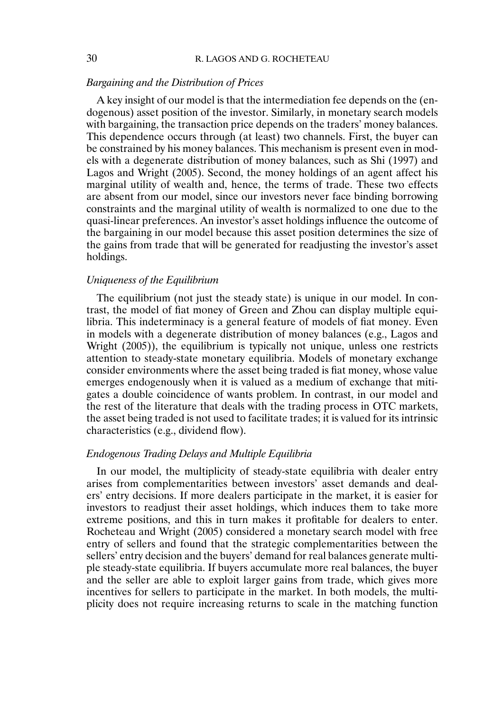## *Bargaining and the Distribution of Prices*

A key insight of our model is that the intermediation fee depends on the (endogenous) asset position of the investor. Similarly, in monetary search models with bargaining, the transaction price depends on the traders' money balances. This dependence occurs through (at least) two channels. First, the buyer can be constrained by his money balances. This mechanism is present even in models with a degenerate distribution of money balances, such as Shi (1997) and Lagos and Wright (2005). Second, the money holdings of an agent affect his marginal utility of wealth and, hence, the terms of trade. These two effects are absent from our model, since our investors never face binding borrowing constraints and the marginal utility of wealth is normalized to one due to the quasi-linear preferences. An investor's asset holdings influence the outcome of the bargaining in our model because this asset position determines the size of the gains from trade that will be generated for readjusting the investor's asset holdings.

## *Uniqueness of the Equilibrium*

The equilibrium (not just the steady state) is unique in our model. In contrast, the model of fiat money of Green and Zhou can display multiple equilibria. This indeterminacy is a general feature of models of fiat money. Even in models with a degenerate distribution of money balances (e.g., Lagos and Wright (2005)), the equilibrium is typically not unique, unless one restricts attention to steady-state monetary equilibria. Models of monetary exchange consider environments where the asset being traded is fiat money, whose value emerges endogenously when it is valued as a medium of exchange that mitigates a double coincidence of wants problem. In contrast, in our model and the rest of the literature that deals with the trading process in OTC markets, the asset being traded is not used to facilitate trades; it is valued for its intrinsic characteristics (e.g., dividend flow).

### *Endogenous Trading Delays and Multiple Equilibria*

In our model, the multiplicity of steady-state equilibria with dealer entry arises from complementarities between investors' asset demands and dealers' entry decisions. If more dealers participate in the market, it is easier for investors to readjust their asset holdings, which induces them to take more extreme positions, and this in turn makes it profitable for dealers to enter. Rocheteau and Wright (2005) considered a monetary search model with free entry of sellers and found that the strategic complementarities between the sellers' entry decision and the buyers' demand for real balances generate multiple steady-state equilibria. If buyers accumulate more real balances, the buyer and the seller are able to exploit larger gains from trade, which gives more incentives for sellers to participate in the market. In both models, the multiplicity does not require increasing returns to scale in the matching function